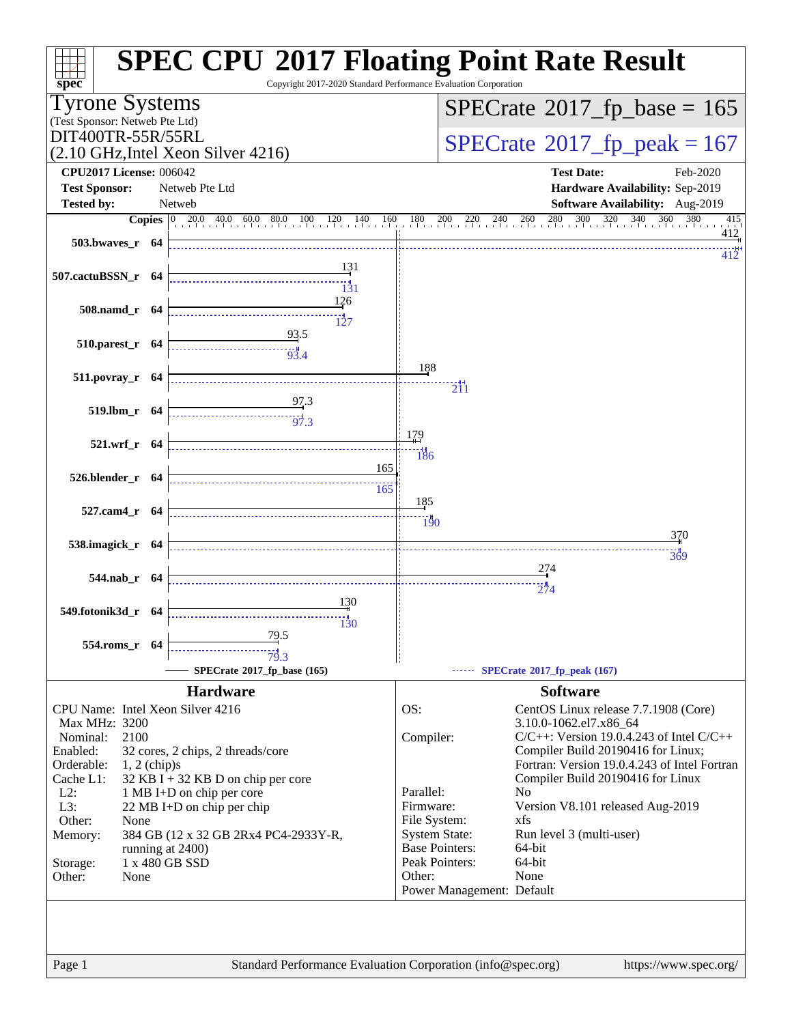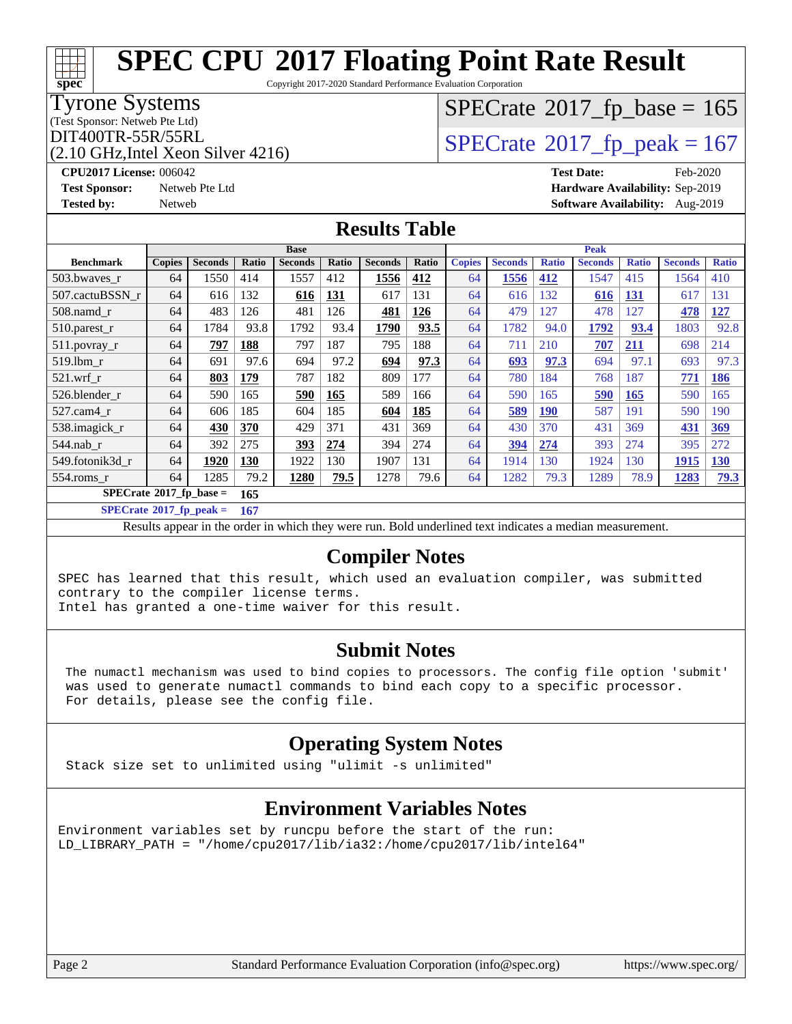Copyright 2017-2020 Standard Performance Evaluation Corporation

#### Tyrone Systems

**[spec](http://www.spec.org/)**

(Test Sponsor: Netweb Pte Ltd)

DIT400TR-55R/55RL<br>(2.10 GHz Intel Xeon Silver 4216) [SPECrate](http://www.spec.org/auto/cpu2017/Docs/result-fields.html#SPECrate2017fppeak)®[2017\\_fp\\_peak = 1](http://www.spec.org/auto/cpu2017/Docs/result-fields.html#SPECrate2017fppeak)67

# $SPECrate$ <sup>®</sup>[2017\\_fp\\_base =](http://www.spec.org/auto/cpu2017/Docs/result-fields.html#SPECrate2017fpbase) 165

### (2.10 GHz,Intel Xeon Silver 4216)

**[Tested by:](http://www.spec.org/auto/cpu2017/Docs/result-fields.html#Testedby)** Netweb **[Software Availability:](http://www.spec.org/auto/cpu2017/Docs/result-fields.html#SoftwareAvailability)** Aug-2019

**[CPU2017 License:](http://www.spec.org/auto/cpu2017/Docs/result-fields.html#CPU2017License)** 006042 **[Test Date:](http://www.spec.org/auto/cpu2017/Docs/result-fields.html#TestDate)** Feb-2020 **[Test Sponsor:](http://www.spec.org/auto/cpu2017/Docs/result-fields.html#TestSponsor)** Netweb Pte Ltd **[Hardware Availability:](http://www.spec.org/auto/cpu2017/Docs/result-fields.html#HardwareAvailability)** Sep-2019

#### **[Results Table](http://www.spec.org/auto/cpu2017/Docs/result-fields.html#ResultsTable)**

|                                    | <b>Base</b>   |                |       |                |            | <b>Peak</b>    |       |               |                |              |                |              |                |              |
|------------------------------------|---------------|----------------|-------|----------------|------------|----------------|-------|---------------|----------------|--------------|----------------|--------------|----------------|--------------|
| <b>Benchmark</b>                   | <b>Copies</b> | <b>Seconds</b> | Ratio | <b>Seconds</b> | Ratio      | <b>Seconds</b> | Ratio | <b>Copies</b> | <b>Seconds</b> | <b>Ratio</b> | <b>Seconds</b> | <b>Ratio</b> | <b>Seconds</b> | <b>Ratio</b> |
| 503.bwaves_r                       | 64            | 1550           | 414   | 1557           | 412        | 1556           | 412   | 64            | 1556           | 412          | 1547           | 415          | 1564           | 410          |
| 507.cactuBSSN_r                    | 64            | 616            | 132   | 616            | <b>131</b> | 617            | 131   | 64            | 616            | 132          | 616            | <b>131</b>   | 617            | 131          |
| $508$ .namd $r$                    | 64            | 483            | 126   | 481            | 126        | 481            | 126   | 64            | 479            | 127          | 478            | 127          | 478            | 127          |
| 510.parest_r                       | 64            | 1784           | 93.8  | 1792           | 93.4       | 1790           | 93.5  | 64            | 1782           | 94.0         | 1792           | 93.4         | 1803           | 92.8         |
| 511.povray_r                       | 64            | 797            | 188   | 797            | 187        | 795            | 188   | 64            | 711            | 210          | 707            | <u>211</u>   | 698            | 214          |
| 519.1bm r                          | 64            | 691            | 97.6  | 694            | 97.2       | 694            | 97.3  | 64            | 693            | 97.3         | 694            | 97.1         | 693            | 97.3         |
| $521.wrf_r$                        | 64            | 803            | 179   | 787            | 182        | 809            | 177   | 64            | 780            | 184          | 768            | 187          | 771            | <b>186</b>   |
| 526.blender r                      | 64            | 590            | 165   | 590            | 165        | 589            | 166   | 64            | 590            | 165          | 590            | 165          | 590            | 165          |
| 527.cam4 r                         | 64            | 606            | 185   | 604            | 185        | 604            | 185   | 64            | 589            | <b>190</b>   | 587            | 191          | 590            | 190          |
| 538.imagick_r                      | 64            | 430            | 370   | 429            | 371        | 431            | 369   | 64            | 430            | 370          | 431            | 369          | 431            | 369          |
| 544.nab_r                          | 64            | 392            | 275   | 393            | 274        | 394            | 274   | 64            | 394            | 274          | 393            | 274          | 395            | 272          |
| 549.fotonik3d_r                    | 64            | 1920           | 130   | 1922           | 130        | 1907           | 131   | 64            | 1914           | 130          | 1924           | 130          | 1915           | <b>130</b>   |
| $554$ .roms $r$                    | 64            | 1285           | 79.2  | 1280           | 79.5       | 1278           | 79.6  | 64            | 1282           | 79.3         | 1289           | 78.9         | 1283           | <u>79.3</u>  |
| $SPECrate^{\otimes}2017$ fp base = |               | 165            |       |                |            |                |       |               |                |              |                |              |                |              |

**[SPECrate](http://www.spec.org/auto/cpu2017/Docs/result-fields.html#SPECrate2017fppeak)[2017\\_fp\\_peak =](http://www.spec.org/auto/cpu2017/Docs/result-fields.html#SPECrate2017fppeak) 167**

Results appear in the [order in which they were run.](http://www.spec.org/auto/cpu2017/Docs/result-fields.html#RunOrder) Bold underlined text [indicates a median measurement.](http://www.spec.org/auto/cpu2017/Docs/result-fields.html#Median)

### **[Compiler Notes](http://www.spec.org/auto/cpu2017/Docs/result-fields.html#CompilerNotes)**

SPEC has learned that this result, which used an evaluation compiler, was submitted contrary to the compiler license terms.

Intel has granted a one-time waiver for this result.

### **[Submit Notes](http://www.spec.org/auto/cpu2017/Docs/result-fields.html#SubmitNotes)**

 The numactl mechanism was used to bind copies to processors. The config file option 'submit' was used to generate numactl commands to bind each copy to a specific processor. For details, please see the config file.

### **[Operating System Notes](http://www.spec.org/auto/cpu2017/Docs/result-fields.html#OperatingSystemNotes)**

Stack size set to unlimited using "ulimit -s unlimited"

### **[Environment Variables Notes](http://www.spec.org/auto/cpu2017/Docs/result-fields.html#EnvironmentVariablesNotes)**

Environment variables set by runcpu before the start of the run: LD\_LIBRARY\_PATH = "/home/cpu2017/lib/ia32:/home/cpu2017/lib/intel64"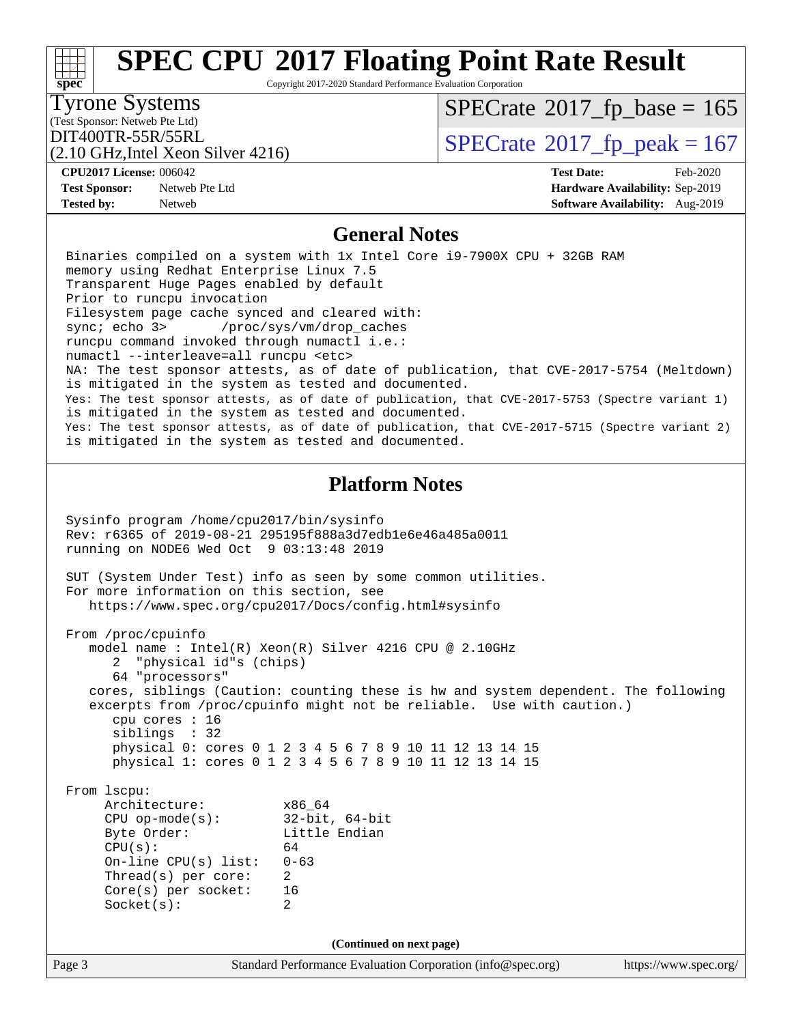#### Page 3 Standard Performance Evaluation Corporation [\(info@spec.org\)](mailto:info@spec.org) <https://www.spec.org/> **[spec](http://www.spec.org/) [SPEC CPU](http://www.spec.org/auto/cpu2017/Docs/result-fields.html#SPECCPU2017FloatingPointRateResult)[2017 Floating Point Rate Result](http://www.spec.org/auto/cpu2017/Docs/result-fields.html#SPECCPU2017FloatingPointRateResult)** Copyright 2017-2020 Standard Performance Evaluation Corporation (Test Sponsor: Netweb Pte Ltd) Tyrone Systems (2.10 GHz,Intel Xeon Silver 4216) DIT400TR-55R/55RL<br>(2.10 GHz Intel Xeon Silver 4216) [SPECrate](http://www.spec.org/auto/cpu2017/Docs/result-fields.html#SPECrate2017fppeak)®[2017\\_fp\\_peak = 1](http://www.spec.org/auto/cpu2017/Docs/result-fields.html#SPECrate2017fppeak)67  $SPECTate$ <sup>®</sup>[2017\\_fp\\_base =](http://www.spec.org/auto/cpu2017/Docs/result-fields.html#SPECrate2017fpbase) 165 **[CPU2017 License:](http://www.spec.org/auto/cpu2017/Docs/result-fields.html#CPU2017License)** 006042 **[Test Date:](http://www.spec.org/auto/cpu2017/Docs/result-fields.html#TestDate)** Feb-2020 **[Test Sponsor:](http://www.spec.org/auto/cpu2017/Docs/result-fields.html#TestSponsor)** Netweb Pte Ltd **[Hardware Availability:](http://www.spec.org/auto/cpu2017/Docs/result-fields.html#HardwareAvailability)** Sep-2019 **[Tested by:](http://www.spec.org/auto/cpu2017/Docs/result-fields.html#Testedby)** Netweb **[Software Availability:](http://www.spec.org/auto/cpu2017/Docs/result-fields.html#SoftwareAvailability)** Aug-2019 **[General Notes](http://www.spec.org/auto/cpu2017/Docs/result-fields.html#GeneralNotes)** Binaries compiled on a system with 1x Intel Core i9-7900X CPU + 32GB RAM memory using Redhat Enterprise Linux 7.5 Transparent Huge Pages enabled by default Prior to runcpu invocation Filesystem page cache synced and cleared with: sync; echo 3> /proc/sys/vm/drop\_caches runcpu command invoked through numactl i.e.: numactl --interleave=all runcpu <etc> NA: The test sponsor attests, as of date of publication, that CVE-2017-5754 (Meltdown) is mitigated in the system as tested and documented. Yes: The test sponsor attests, as of date of publication, that CVE-2017-5753 (Spectre variant 1) is mitigated in the system as tested and documented. Yes: The test sponsor attests, as of date of publication, that CVE-2017-5715 (Spectre variant 2) is mitigated in the system as tested and documented. **[Platform Notes](http://www.spec.org/auto/cpu2017/Docs/result-fields.html#PlatformNotes)** Sysinfo program /home/cpu2017/bin/sysinfo Rev: r6365 of 2019-08-21 295195f888a3d7edb1e6e46a485a0011 running on NODE6 Wed Oct 9 03:13:48 2019 SUT (System Under Test) info as seen by some common utilities. For more information on this section, see <https://www.spec.org/cpu2017/Docs/config.html#sysinfo> From /proc/cpuinfo model name : Intel(R) Xeon(R) Silver 4216 CPU @ 2.10GHz 2 "physical id"s (chips) 64 "processors" cores, siblings (Caution: counting these is hw and system dependent. The following excerpts from /proc/cpuinfo might not be reliable. Use with caution.) cpu cores : 16 siblings : 32 physical 0: cores 0 1 2 3 4 5 6 7 8 9 10 11 12 13 14 15 physical 1: cores 0 1 2 3 4 5 6 7 8 9 10 11 12 13 14 15 From lscpu: Architecture: x86\_64 CPU op-mode(s): 32-bit, 64-bit Byte Order: Little Endian  $CPU(s):$  64 On-line CPU(s) list: 0-63 Thread(s) per core: 2 Core(s) per socket: 16 Socket(s): 2 **(Continued on next page)**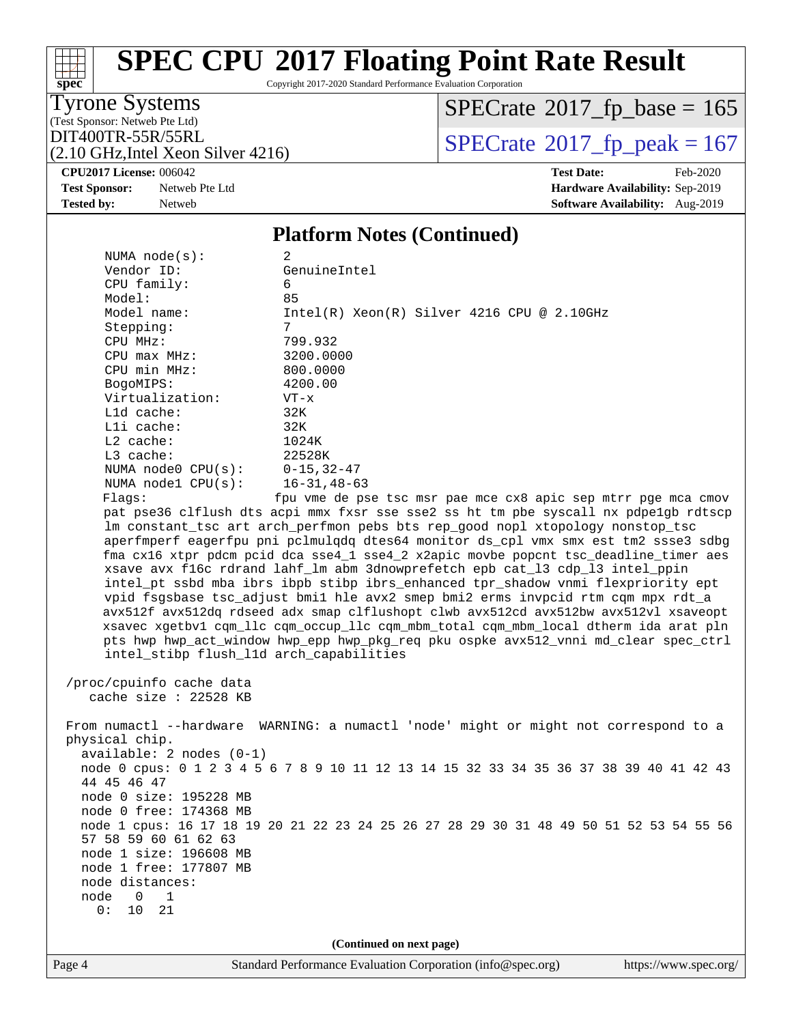Copyright 2017-2020 Standard Performance Evaluation Corporation

Tyrone Systems

**[spec](http://www.spec.org/)**

(Test Sponsor: Netweb Pte Ltd)

DIT400TR-55R/55RL<br>(2.10 GHz Intel Xeon Silver 4216)  $\text{SPECrate}$  $\text{SPECrate}$  $\text{SPECrate}$ <sup>®</sup>[2017\\_fp\\_peak = 1](http://www.spec.org/auto/cpu2017/Docs/result-fields.html#SPECrate2017fppeak)67  $SPECrate$ <sup>®</sup>[2017\\_fp\\_base =](http://www.spec.org/auto/cpu2017/Docs/result-fields.html#SPECrate2017fpbase) 165

(2.10 GHz,Intel Xeon Silver 4216) **[CPU2017 License:](http://www.spec.org/auto/cpu2017/Docs/result-fields.html#CPU2017License)** 006042 **[Test Date:](http://www.spec.org/auto/cpu2017/Docs/result-fields.html#TestDate)** Feb-2020

**[Test Sponsor:](http://www.spec.org/auto/cpu2017/Docs/result-fields.html#TestSponsor)** Netweb Pte Ltd **[Hardware Availability:](http://www.spec.org/auto/cpu2017/Docs/result-fields.html#HardwareAvailability)** Sep-2019 **[Tested by:](http://www.spec.org/auto/cpu2017/Docs/result-fields.html#Testedby)** Netweb **[Software Availability:](http://www.spec.org/auto/cpu2017/Docs/result-fields.html#SoftwareAvailability)** Aug-2019

#### **[Platform Notes \(Continued\)](http://www.spec.org/auto/cpu2017/Docs/result-fields.html#PlatformNotes)**

| NUMA $node(s):$                                                                                                                                                                                                                                                                                                                                                                                                                                                                                                                                                                                                                                                                                                                                                                                                                                                                                                             | 2                                                                                    |  |  |  |  |  |  |
|-----------------------------------------------------------------------------------------------------------------------------------------------------------------------------------------------------------------------------------------------------------------------------------------------------------------------------------------------------------------------------------------------------------------------------------------------------------------------------------------------------------------------------------------------------------------------------------------------------------------------------------------------------------------------------------------------------------------------------------------------------------------------------------------------------------------------------------------------------------------------------------------------------------------------------|--------------------------------------------------------------------------------------|--|--|--|--|--|--|
| Vendor ID:                                                                                                                                                                                                                                                                                                                                                                                                                                                                                                                                                                                                                                                                                                                                                                                                                                                                                                                  | GenuineIntel                                                                         |  |  |  |  |  |  |
| CPU family:                                                                                                                                                                                                                                                                                                                                                                                                                                                                                                                                                                                                                                                                                                                                                                                                                                                                                                                 | 6                                                                                    |  |  |  |  |  |  |
| Model:                                                                                                                                                                                                                                                                                                                                                                                                                                                                                                                                                                                                                                                                                                                                                                                                                                                                                                                      | 85                                                                                   |  |  |  |  |  |  |
| Model name:                                                                                                                                                                                                                                                                                                                                                                                                                                                                                                                                                                                                                                                                                                                                                                                                                                                                                                                 | $Intel(R) Xeon(R) Silver 4216 CPU @ 2.10GHz$                                         |  |  |  |  |  |  |
| Stepping:                                                                                                                                                                                                                                                                                                                                                                                                                                                                                                                                                                                                                                                                                                                                                                                                                                                                                                                   | 7                                                                                    |  |  |  |  |  |  |
| CPU MHz:                                                                                                                                                                                                                                                                                                                                                                                                                                                                                                                                                                                                                                                                                                                                                                                                                                                                                                                    | 799.932                                                                              |  |  |  |  |  |  |
| $CPU$ $max$ $MHz$ :                                                                                                                                                                                                                                                                                                                                                                                                                                                                                                                                                                                                                                                                                                                                                                                                                                                                                                         | 3200.0000                                                                            |  |  |  |  |  |  |
| CPU min MHz:                                                                                                                                                                                                                                                                                                                                                                                                                                                                                                                                                                                                                                                                                                                                                                                                                                                                                                                | 800.0000                                                                             |  |  |  |  |  |  |
| BogoMIPS:                                                                                                                                                                                                                                                                                                                                                                                                                                                                                                                                                                                                                                                                                                                                                                                                                                                                                                                   | 4200.00                                                                              |  |  |  |  |  |  |
| Virtualization:                                                                                                                                                                                                                                                                                                                                                                                                                                                                                                                                                                                                                                                                                                                                                                                                                                                                                                             | $VT - x$                                                                             |  |  |  |  |  |  |
| L1d cache:                                                                                                                                                                                                                                                                                                                                                                                                                                                                                                                                                                                                                                                                                                                                                                                                                                                                                                                  | 32K                                                                                  |  |  |  |  |  |  |
| Lli cache:                                                                                                                                                                                                                                                                                                                                                                                                                                                                                                                                                                                                                                                                                                                                                                                                                                                                                                                  | 32K                                                                                  |  |  |  |  |  |  |
| $L2$ cache:                                                                                                                                                                                                                                                                                                                                                                                                                                                                                                                                                                                                                                                                                                                                                                                                                                                                                                                 | 1024K                                                                                |  |  |  |  |  |  |
| L3 cache:                                                                                                                                                                                                                                                                                                                                                                                                                                                                                                                                                                                                                                                                                                                                                                                                                                                                                                                   | 22528K                                                                               |  |  |  |  |  |  |
| NUMA $node0$ $CPU(s)$ :                                                                                                                                                                                                                                                                                                                                                                                                                                                                                                                                                                                                                                                                                                                                                                                                                                                                                                     | $0 - 15, 32 - 47$                                                                    |  |  |  |  |  |  |
| NUMA nodel $CPU(s):$                                                                                                                                                                                                                                                                                                                                                                                                                                                                                                                                                                                                                                                                                                                                                                                                                                                                                                        | $16 - 31, 48 - 63$                                                                   |  |  |  |  |  |  |
| Flags:                                                                                                                                                                                                                                                                                                                                                                                                                                                                                                                                                                                                                                                                                                                                                                                                                                                                                                                      | fpu vme de pse tsc msr pae mce cx8 apic sep mtrr pge mca cmov                        |  |  |  |  |  |  |
| pat pse36 clflush dts acpi mmx fxsr sse sse2 ss ht tm pbe syscall nx pdpelgb rdtscp<br>lm constant_tsc art arch_perfmon pebs bts rep_good nopl xtopology nonstop_tsc<br>aperfmperf eagerfpu pni pclmulqdq dtes64 monitor ds_cpl vmx smx est tm2 ssse3 sdbg<br>fma cx16 xtpr pdcm pcid dca sse4_1 sse4_2 x2apic movbe popcnt tsc_deadline_timer aes<br>xsave avx f16c rdrand lahf_lm abm 3dnowprefetch epb cat_13 cdp_13 intel_ppin<br>intel_pt ssbd mba ibrs ibpb stibp ibrs_enhanced tpr_shadow vnmi flexpriority ept<br>vpid fsgsbase tsc_adjust bmil hle avx2 smep bmi2 erms invpcid rtm cqm mpx rdt_a<br>avx512f avx512dq rdseed adx smap clflushopt clwb avx512cd avx512bw avx512vl xsaveopt<br>xsavec xgetbv1 cqm_llc cqm_occup_llc cqm_mbm_total cqm_mbm_local dtherm ida arat pln<br>pts hwp hwp_act_window hwp_epp hwp_pkg_req pku ospke avx512_vnni md_clear spec_ctrl<br>intel_stibp flush_l1d arch_capabilities |                                                                                      |  |  |  |  |  |  |
| /proc/cpuinfo cache data<br>cache size : $22528$ KB                                                                                                                                                                                                                                                                                                                                                                                                                                                                                                                                                                                                                                                                                                                                                                                                                                                                         |                                                                                      |  |  |  |  |  |  |
| physical chip.<br>$available: 2 nodes (0-1)$                                                                                                                                                                                                                                                                                                                                                                                                                                                                                                                                                                                                                                                                                                                                                                                                                                                                                | From numactl --hardware WARNING: a numactl 'node' might or might not correspond to a |  |  |  |  |  |  |
| node 0 cpus: 0 1 2 3 4 5 6 7 8 9 10 11 12 13 14 15 32 33 34 35 36 37 38 39 40 41 42 43<br>44 45 46 47<br>node 0 size: 195228 MB                                                                                                                                                                                                                                                                                                                                                                                                                                                                                                                                                                                                                                                                                                                                                                                             |                                                                                      |  |  |  |  |  |  |
| node 0 free: 174368 MB                                                                                                                                                                                                                                                                                                                                                                                                                                                                                                                                                                                                                                                                                                                                                                                                                                                                                                      |                                                                                      |  |  |  |  |  |  |
| node 1 cpus: 16 17 18 19 20 21 22 23 24 25 26 27 28 29 30 31 48 49 50 51 52 53 54 55 56                                                                                                                                                                                                                                                                                                                                                                                                                                                                                                                                                                                                                                                                                                                                                                                                                                     |                                                                                      |  |  |  |  |  |  |
| 57 58 59 60 61 62 63                                                                                                                                                                                                                                                                                                                                                                                                                                                                                                                                                                                                                                                                                                                                                                                                                                                                                                        |                                                                                      |  |  |  |  |  |  |
| node 1 size: 196608 MB                                                                                                                                                                                                                                                                                                                                                                                                                                                                                                                                                                                                                                                                                                                                                                                                                                                                                                      |                                                                                      |  |  |  |  |  |  |
| node 1 free: 177807 MB                                                                                                                                                                                                                                                                                                                                                                                                                                                                                                                                                                                                                                                                                                                                                                                                                                                                                                      |                                                                                      |  |  |  |  |  |  |
| node distances:                                                                                                                                                                                                                                                                                                                                                                                                                                                                                                                                                                                                                                                                                                                                                                                                                                                                                                             |                                                                                      |  |  |  |  |  |  |
| node<br>0<br>1                                                                                                                                                                                                                                                                                                                                                                                                                                                                                                                                                                                                                                                                                                                                                                                                                                                                                                              |                                                                                      |  |  |  |  |  |  |
| 0:<br>10<br>21                                                                                                                                                                                                                                                                                                                                                                                                                                                                                                                                                                                                                                                                                                                                                                                                                                                                                                              |                                                                                      |  |  |  |  |  |  |
|                                                                                                                                                                                                                                                                                                                                                                                                                                                                                                                                                                                                                                                                                                                                                                                                                                                                                                                             |                                                                                      |  |  |  |  |  |  |
| (Continued on next page)                                                                                                                                                                                                                                                                                                                                                                                                                                                                                                                                                                                                                                                                                                                                                                                                                                                                                                    |                                                                                      |  |  |  |  |  |  |
|                                                                                                                                                                                                                                                                                                                                                                                                                                                                                                                                                                                                                                                                                                                                                                                                                                                                                                                             |                                                                                      |  |  |  |  |  |  |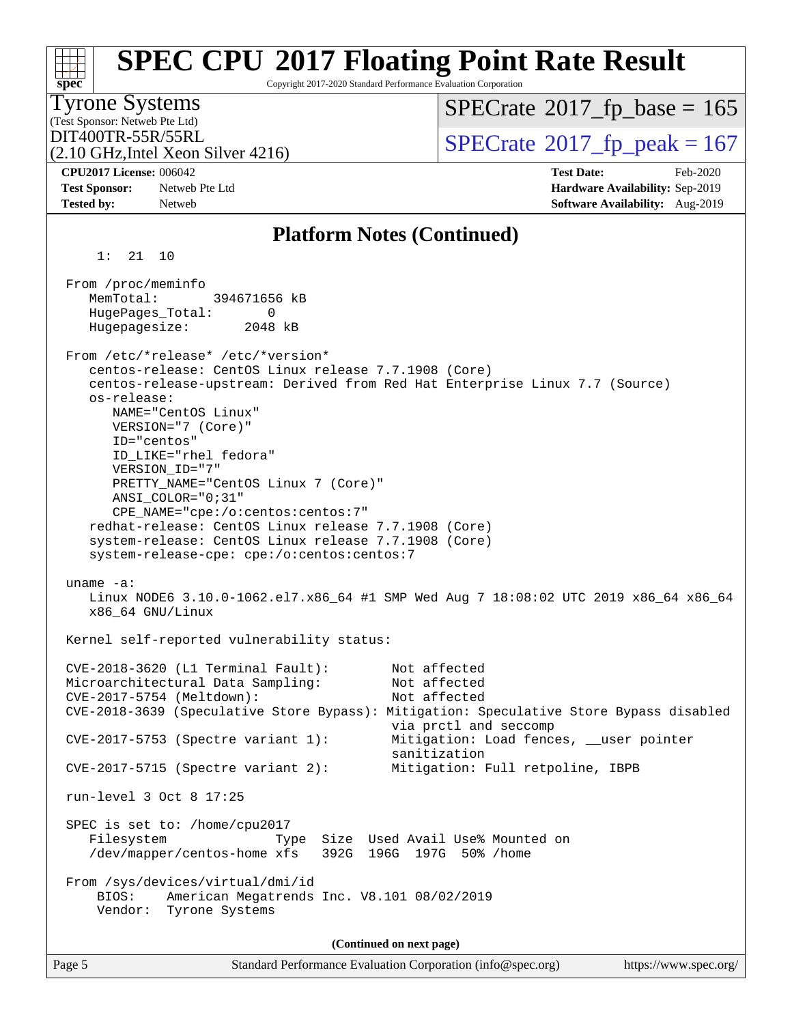| <b>Tyrone Systems</b><br>(Test Sponsor: Netweb Pte Ltd)                                                                                                                                                                                                                                                                                                                                                                                                                                                                                                        | $SPECrate^{\circ}2017$ _fp_base = 165                                               |
|----------------------------------------------------------------------------------------------------------------------------------------------------------------------------------------------------------------------------------------------------------------------------------------------------------------------------------------------------------------------------------------------------------------------------------------------------------------------------------------------------------------------------------------------------------------|-------------------------------------------------------------------------------------|
| DIT400TR-55R/55RL<br>$(2.10 \text{ GHz}, \text{Intel Xeon Silver } 4216)$                                                                                                                                                                                                                                                                                                                                                                                                                                                                                      | $SPECTate@2017_fp\_peak = 167$                                                      |
| <b>CPU2017 License: 006042</b>                                                                                                                                                                                                                                                                                                                                                                                                                                                                                                                                 | <b>Test Date:</b><br>Feb-2020                                                       |
| <b>Test Sponsor:</b><br>Netweb Pte Ltd<br><b>Tested by:</b><br>Netweb                                                                                                                                                                                                                                                                                                                                                                                                                                                                                          | Hardware Availability: Sep-2019<br>Software Availability: Aug-2019                  |
| <b>Platform Notes (Continued)</b>                                                                                                                                                                                                                                                                                                                                                                                                                                                                                                                              |                                                                                     |
| 1:<br>21 10                                                                                                                                                                                                                                                                                                                                                                                                                                                                                                                                                    |                                                                                     |
| From /proc/meminfo<br>MemTotal:<br>394671656 kB<br>HugePages_Total:<br>0<br>Hugepagesize:<br>2048 kB                                                                                                                                                                                                                                                                                                                                                                                                                                                           |                                                                                     |
| From /etc/*release* /etc/*version*<br>centos-release: CentOS Linux release 7.7.1908 (Core)<br>centos-release-upstream: Derived from Red Hat Enterprise Linux 7.7 (Source)<br>os-release:<br>NAME="CentOS Linux"<br>VERSION="7 (Core)"<br>ID="centos"<br>ID_LIKE="rhel fedora"<br>VERSION_ID="7"<br>PRETTY_NAME="CentOS Linux 7 (Core)"<br>ANSI_COLOR="0;31"<br>CPE_NAME="cpe:/o:centos:centos:7"<br>redhat-release: CentOS Linux release 7.7.1908 (Core)<br>system-release: CentOS Linux release 7.7.1908 (Core)<br>system-release-cpe: cpe:/o:centos:centos:7 |                                                                                     |
| uname $-a$ :<br>x86_64 GNU/Linux                                                                                                                                                                                                                                                                                                                                                                                                                                                                                                                               | Linux NODE6 3.10.0-1062.el7.x86_64 #1 SMP Wed Aug 7 18:08:02 UTC 2019 x86_64 x86_64 |
| Kernel self-reported vulnerability status:                                                                                                                                                                                                                                                                                                                                                                                                                                                                                                                     |                                                                                     |
| CVE-2018-3620 (L1 Terminal Fault):<br>Microarchitectural Data Sampling:<br>CVE-2017-5754 (Meltdown):<br>CVE-2018-3639 (Speculative Store Bypass): Mitigation: Speculative Store Bypass disabled                                                                                                                                                                                                                                                                                                                                                                | Not affected<br>Not affected<br>Not affected<br>via prctl and seccomp               |
| CVE-2017-5753 (Spectre variant 1):                                                                                                                                                                                                                                                                                                                                                                                                                                                                                                                             | Mitigation: Load fences, __user pointer<br>sanitization                             |
| $CVE-2017-5715$ (Spectre variant 2):                                                                                                                                                                                                                                                                                                                                                                                                                                                                                                                           | Mitigation: Full retpoline, IBPB                                                    |
| run-level 3 Oct 8 17:25                                                                                                                                                                                                                                                                                                                                                                                                                                                                                                                                        |                                                                                     |
| SPEC is set to: /home/cpu2017<br>Filesystem<br>Type<br>/dev/mapper/centos-home xfs                                                                                                                                                                                                                                                                                                                                                                                                                                                                             | Size Used Avail Use% Mounted on<br>392G 196G 197G 50% / home                        |
| From /sys/devices/virtual/dmi/id<br>American Megatrends Inc. V8.101 08/02/2019<br>BIOS:<br>Tyrone Systems<br>Vendor:                                                                                                                                                                                                                                                                                                                                                                                                                                           |                                                                                     |
|                                                                                                                                                                                                                                                                                                                                                                                                                                                                                                                                                                |                                                                                     |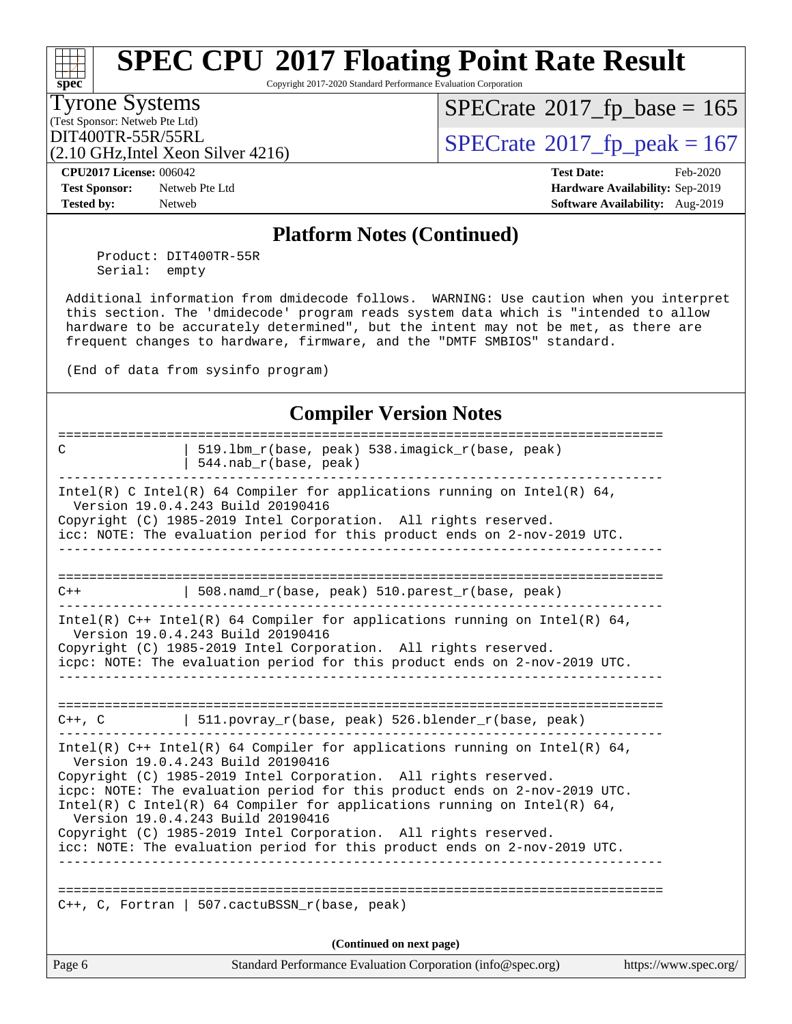Copyright 2017-2020 Standard Performance Evaluation Corporation

### Tyrone Systems

**[spec](http://www.spec.org/)**

(Test Sponsor: Netweb Pte Ltd)

 $SPECrate$ <sup>®</sup>[2017\\_fp\\_base =](http://www.spec.org/auto/cpu2017/Docs/result-fields.html#SPECrate2017fpbase) 165

(2.10 GHz,Intel Xeon Silver 4216)

DIT400TR-55R/55RL<br>(2.10 GHz Intel Xeon Silver 4216) [SPECrate](http://www.spec.org/auto/cpu2017/Docs/result-fields.html#SPECrate2017fppeak)®[2017\\_fp\\_peak = 1](http://www.spec.org/auto/cpu2017/Docs/result-fields.html#SPECrate2017fppeak)67

**[CPU2017 License:](http://www.spec.org/auto/cpu2017/Docs/result-fields.html#CPU2017License)** 006042 **[Test Date:](http://www.spec.org/auto/cpu2017/Docs/result-fields.html#TestDate)** Feb-2020

**[Test Sponsor:](http://www.spec.org/auto/cpu2017/Docs/result-fields.html#TestSponsor)** Netweb Pte Ltd **[Hardware Availability:](http://www.spec.org/auto/cpu2017/Docs/result-fields.html#HardwareAvailability)** Sep-2019 **[Tested by:](http://www.spec.org/auto/cpu2017/Docs/result-fields.html#Testedby)** Netweb **[Software Availability:](http://www.spec.org/auto/cpu2017/Docs/result-fields.html#SoftwareAvailability)** Aug-2019

#### **[Platform Notes \(Continued\)](http://www.spec.org/auto/cpu2017/Docs/result-fields.html#PlatformNotes)**

 Product: DIT400TR-55R Serial: empty

 Additional information from dmidecode follows. WARNING: Use caution when you interpret this section. The 'dmidecode' program reads system data which is "intended to allow hardware to be accurately determined", but the intent may not be met, as there are frequent changes to hardware, firmware, and the "DMTF SMBIOS" standard.

(End of data from sysinfo program)

### **[Compiler Version Notes](http://www.spec.org/auto/cpu2017/Docs/result-fields.html#CompilerVersionNotes)**

| C      | 519.1bm_r(base, peak) 538.imagick_r(base, peak)                                                                                                                                                                                                               |                       |  |  |  |  |  |
|--------|---------------------------------------------------------------------------------------------------------------------------------------------------------------------------------------------------------------------------------------------------------------|-----------------------|--|--|--|--|--|
|        | 544.nab_r(base, peak)                                                                                                                                                                                                                                         |                       |  |  |  |  |  |
|        | Intel(R) C Intel(R) 64 Compiler for applications running on Intel(R) 64,<br>Version 19.0.4.243 Build 20190416<br>Copyright (C) 1985-2019 Intel Corporation. All rights reserved.<br>icc: NOTE: The evaluation period for this product ends on 2-nov-2019 UTC. |                       |  |  |  |  |  |
| $C++$  | 508.namd_r(base, peak) $510.\text{parents\_r}(\text{base}, \text{peak})$                                                                                                                                                                                      |                       |  |  |  |  |  |
|        |                                                                                                                                                                                                                                                               |                       |  |  |  |  |  |
|        | Intel(R) $C++$ Intel(R) 64 Compiler for applications running on Intel(R) 64,<br>Version 19.0.4.243 Build 20190416                                                                                                                                             |                       |  |  |  |  |  |
|        | Copyright (C) 1985-2019 Intel Corporation. All rights reserved.<br>icpc: NOTE: The evaluation period for this product ends on 2-nov-2019 UTC.                                                                                                                 |                       |  |  |  |  |  |
|        |                                                                                                                                                                                                                                                               |                       |  |  |  |  |  |
|        |                                                                                                                                                                                                                                                               |                       |  |  |  |  |  |
|        | $C++$ , C $\qquad$ 511.povray_r(base, peak) 526.blender_r(base, peak)                                                                                                                                                                                         |                       |  |  |  |  |  |
|        | Intel(R) C++ Intel(R) 64 Compiler for applications running on Intel(R) 64,<br>Version 19.0.4.243 Build 20190416                                                                                                                                               |                       |  |  |  |  |  |
|        | Copyright (C) 1985-2019 Intel Corporation. All rights reserved.                                                                                                                                                                                               |                       |  |  |  |  |  |
|        | icpc: NOTE: The evaluation period for this product ends on 2-nov-2019 UTC.<br>Intel(R) C Intel(R) 64 Compiler for applications running on Intel(R) 64,<br>Version 19.0.4.243 Build 20190416                                                                   |                       |  |  |  |  |  |
|        | Copyright (C) 1985-2019 Intel Corporation. All rights reserved.                                                                                                                                                                                               |                       |  |  |  |  |  |
|        | icc: NOTE: The evaluation period for this product ends on 2-nov-2019 UTC.                                                                                                                                                                                     |                       |  |  |  |  |  |
|        |                                                                                                                                                                                                                                                               |                       |  |  |  |  |  |
|        | C++, C, Fortran   507.cactuBSSN_r(base, peak)                                                                                                                                                                                                                 |                       |  |  |  |  |  |
|        | (Continued on next page)                                                                                                                                                                                                                                      |                       |  |  |  |  |  |
| Page 6 | Standard Performance Evaluation Corporation (info@spec.org)                                                                                                                                                                                                   | https://www.spec.org/ |  |  |  |  |  |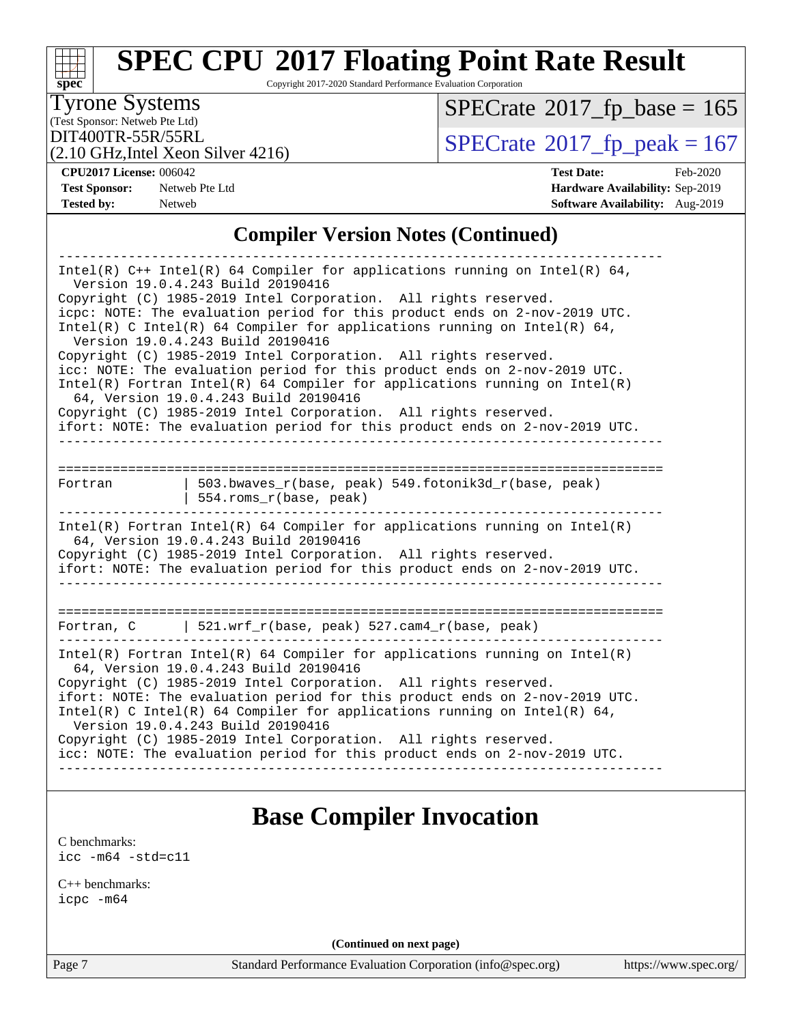#### **[spec](http://www.spec.org/)**<sup>®</sup> **[SPEC CPU](http://www.spec.org/auto/cpu2017/Docs/result-fields.html#SPECCPU2017FloatingPointRateResult)[2017 Floating Point Rate Result](http://www.spec.org/auto/cpu2017/Docs/result-fields.html#SPECCPU2017FloatingPointRateResult)** Copyright 2017-2020 Standard Performance Evaluation Corporation (Test Sponsor: Netweb Pte Ltd) Tyrone Systems (2.10 GHz,Intel Xeon Silver 4216) DIT400TR-55R/55RL<br>(2.10 GHz Intel Xeon Silver 4216) [SPECrate](http://www.spec.org/auto/cpu2017/Docs/result-fields.html#SPECrate2017fppeak)®[2017\\_fp\\_peak = 1](http://www.spec.org/auto/cpu2017/Docs/result-fields.html#SPECrate2017fppeak)67  $SPECTate$ <sup>®</sup>[2017\\_fp\\_base =](http://www.spec.org/auto/cpu2017/Docs/result-fields.html#SPECrate2017fpbase) 165 **[CPU2017 License:](http://www.spec.org/auto/cpu2017/Docs/result-fields.html#CPU2017License)** 006042 **[Test Date:](http://www.spec.org/auto/cpu2017/Docs/result-fields.html#TestDate)** Feb-2020 **[Test Sponsor:](http://www.spec.org/auto/cpu2017/Docs/result-fields.html#TestSponsor)** Netweb Pte Ltd **[Hardware Availability:](http://www.spec.org/auto/cpu2017/Docs/result-fields.html#HardwareAvailability)** Sep-2019 **[Tested by:](http://www.spec.org/auto/cpu2017/Docs/result-fields.html#Testedby)** Netweb **[Software Availability:](http://www.spec.org/auto/cpu2017/Docs/result-fields.html#SoftwareAvailability)** Aug-2019 **[Compiler Version Notes \(Continued\)](http://www.spec.org/auto/cpu2017/Docs/result-fields.html#CompilerVersionNotes)** ------------------------------------------------------------------------------ Intel(R) C++ Intel(R) 64 Compiler for applications running on Intel(R) 64, Version 19.0.4.243 Build 20190416 Copyright (C) 1985-2019 Intel Corporation. All rights reserved. icpc: NOTE: The evaluation period for this product ends on 2-nov-2019 UTC. Intel(R) C Intel(R) 64 Compiler for applications running on Intel(R) 64, Version 19.0.4.243 Build 20190416 Copyright (C) 1985-2019 Intel Corporation. All rights reserved. icc: NOTE: The evaluation period for this product ends on 2-nov-2019 UTC. Intel(R) Fortran Intel(R) 64 Compiler for applications running on Intel(R) 64, Version 19.0.4.243 Build 20190416 Copyright (C) 1985-2019 Intel Corporation. All rights reserved. ifort: NOTE: The evaluation period for this product ends on 2-nov-2019 UTC. ------------------------------------------------------------------------------ ============================================================================== Fortran | 503.bwaves\_r(base, peak) 549.fotonik3d\_r(base, peak) | 554.roms\_r(base, peak) ------------------------------------------------------------------------------ Intel(R) Fortran Intel(R) 64 Compiler for applications running on Intel(R) 64, Version 19.0.4.243 Build 20190416 Copyright (C) 1985-2019 Intel Corporation. All rights reserved. ifort: NOTE: The evaluation period for this product ends on 2-nov-2019 UTC. ------------------------------------------------------------------------------ ============================================================================== Fortran, C | 521.wrf\_r(base, peak) 527.cam4\_r(base, peak) ------------------------------------------------------------------------------ Intel(R) Fortran Intel(R)  $64$  Compiler for applications running on Intel(R) 64, Version 19.0.4.243 Build 20190416 Copyright (C) 1985-2019 Intel Corporation. All rights reserved. ifort: NOTE: The evaluation period for this product ends on 2-nov-2019 UTC. Intel(R) C Intel(R) 64 Compiler for applications running on Intel(R)  $64$ , Version 19.0.4.243 Build 20190416 Copyright (C) 1985-2019 Intel Corporation. All rights reserved. icc: NOTE: The evaluation period for this product ends on 2-nov-2019 UTC.

------------------------------------------------------------------------------

### **[Base Compiler Invocation](http://www.spec.org/auto/cpu2017/Docs/result-fields.html#BaseCompilerInvocation)**

[C benchmarks](http://www.spec.org/auto/cpu2017/Docs/result-fields.html#Cbenchmarks): [icc -m64 -std=c11](http://www.spec.org/cpu2017/results/res2020q1/cpu2017-20200218-20988.flags.html#user_CCbase_intel_icc_64bit_c11_33ee0cdaae7deeeab2a9725423ba97205ce30f63b9926c2519791662299b76a0318f32ddfffdc46587804de3178b4f9328c46fa7c2b0cd779d7a61945c91cd35)

[C++ benchmarks:](http://www.spec.org/auto/cpu2017/Docs/result-fields.html#CXXbenchmarks) [icpc -m64](http://www.spec.org/cpu2017/results/res2020q1/cpu2017-20200218-20988.flags.html#user_CXXbase_intel_icpc_64bit_4ecb2543ae3f1412ef961e0650ca070fec7b7afdcd6ed48761b84423119d1bf6bdf5cad15b44d48e7256388bc77273b966e5eb805aefd121eb22e9299b2ec9d9)

**(Continued on next page)**

Page 7 Standard Performance Evaluation Corporation [\(info@spec.org\)](mailto:info@spec.org) <https://www.spec.org/>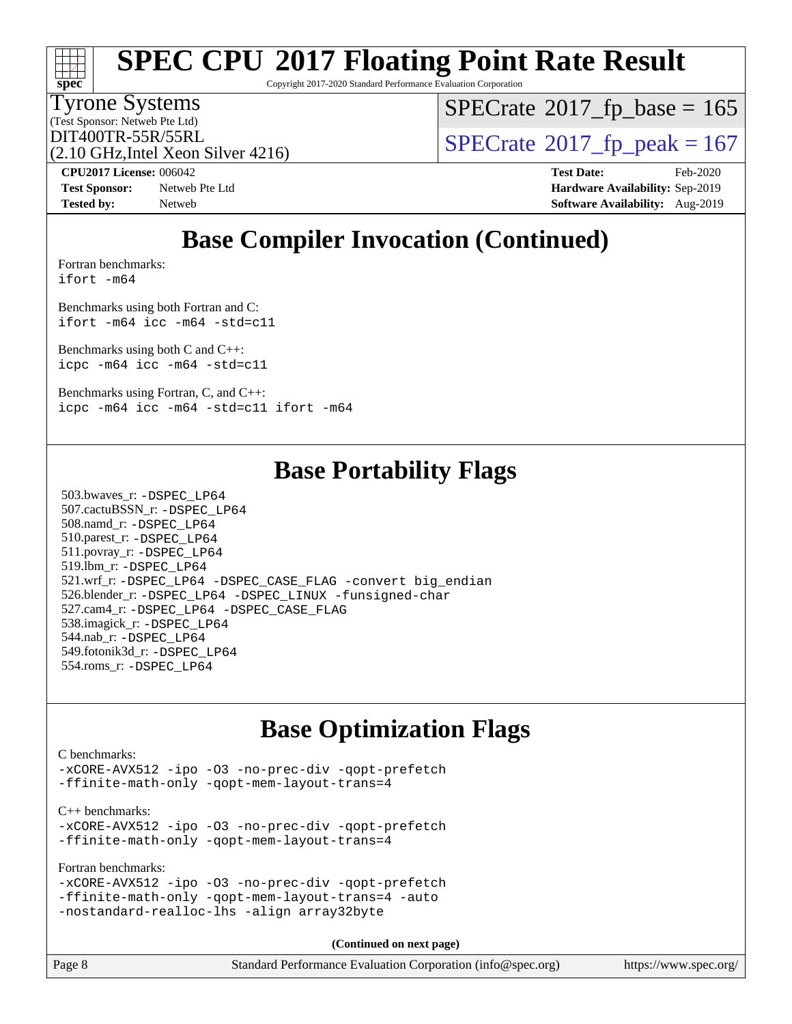Copyright 2017-2020 Standard Performance Evaluation Corporation

### Tyrone Systems

**[spec](http://www.spec.org/)**

(Test Sponsor: Netweb Pte Ltd)

 $SPECTate$ <sup>®</sup>[2017\\_fp\\_base =](http://www.spec.org/auto/cpu2017/Docs/result-fields.html#SPECrate2017fpbase) 165

(2.10 GHz,Intel Xeon Silver 4216)

DIT400TR-55R/55RL<br>(2.10 GHz Intel Xeon Silver 4216) [SPECrate](http://www.spec.org/auto/cpu2017/Docs/result-fields.html#SPECrate2017fppeak)®[2017\\_fp\\_peak = 1](http://www.spec.org/auto/cpu2017/Docs/result-fields.html#SPECrate2017fppeak)67

**[CPU2017 License:](http://www.spec.org/auto/cpu2017/Docs/result-fields.html#CPU2017License)** 006042 **[Test Date:](http://www.spec.org/auto/cpu2017/Docs/result-fields.html#TestDate)** Feb-2020

**[Test Sponsor:](http://www.spec.org/auto/cpu2017/Docs/result-fields.html#TestSponsor)** Netweb Pte Ltd **[Hardware Availability:](http://www.spec.org/auto/cpu2017/Docs/result-fields.html#HardwareAvailability)** Sep-2019 **[Tested by:](http://www.spec.org/auto/cpu2017/Docs/result-fields.html#Testedby)** Netweb **[Software Availability:](http://www.spec.org/auto/cpu2017/Docs/result-fields.html#SoftwareAvailability)** Aug-2019

## **[Base Compiler Invocation \(Continued\)](http://www.spec.org/auto/cpu2017/Docs/result-fields.html#BaseCompilerInvocation)**

[Fortran benchmarks](http://www.spec.org/auto/cpu2017/Docs/result-fields.html#Fortranbenchmarks): [ifort -m64](http://www.spec.org/cpu2017/results/res2020q1/cpu2017-20200218-20988.flags.html#user_FCbase_intel_ifort_64bit_24f2bb282fbaeffd6157abe4f878425411749daecae9a33200eee2bee2fe76f3b89351d69a8130dd5949958ce389cf37ff59a95e7a40d588e8d3a57e0c3fd751)

[Benchmarks using both Fortran and C](http://www.spec.org/auto/cpu2017/Docs/result-fields.html#BenchmarksusingbothFortranandC): [ifort -m64](http://www.spec.org/cpu2017/results/res2020q1/cpu2017-20200218-20988.flags.html#user_CC_FCbase_intel_ifort_64bit_24f2bb282fbaeffd6157abe4f878425411749daecae9a33200eee2bee2fe76f3b89351d69a8130dd5949958ce389cf37ff59a95e7a40d588e8d3a57e0c3fd751) [icc -m64 -std=c11](http://www.spec.org/cpu2017/results/res2020q1/cpu2017-20200218-20988.flags.html#user_CC_FCbase_intel_icc_64bit_c11_33ee0cdaae7deeeab2a9725423ba97205ce30f63b9926c2519791662299b76a0318f32ddfffdc46587804de3178b4f9328c46fa7c2b0cd779d7a61945c91cd35)

[Benchmarks using both C and C++](http://www.spec.org/auto/cpu2017/Docs/result-fields.html#BenchmarksusingbothCandCXX): [icpc -m64](http://www.spec.org/cpu2017/results/res2020q1/cpu2017-20200218-20988.flags.html#user_CC_CXXbase_intel_icpc_64bit_4ecb2543ae3f1412ef961e0650ca070fec7b7afdcd6ed48761b84423119d1bf6bdf5cad15b44d48e7256388bc77273b966e5eb805aefd121eb22e9299b2ec9d9) [icc -m64 -std=c11](http://www.spec.org/cpu2017/results/res2020q1/cpu2017-20200218-20988.flags.html#user_CC_CXXbase_intel_icc_64bit_c11_33ee0cdaae7deeeab2a9725423ba97205ce30f63b9926c2519791662299b76a0318f32ddfffdc46587804de3178b4f9328c46fa7c2b0cd779d7a61945c91cd35)

[Benchmarks using Fortran, C, and C++:](http://www.spec.org/auto/cpu2017/Docs/result-fields.html#BenchmarksusingFortranCandCXX) [icpc -m64](http://www.spec.org/cpu2017/results/res2020q1/cpu2017-20200218-20988.flags.html#user_CC_CXX_FCbase_intel_icpc_64bit_4ecb2543ae3f1412ef961e0650ca070fec7b7afdcd6ed48761b84423119d1bf6bdf5cad15b44d48e7256388bc77273b966e5eb805aefd121eb22e9299b2ec9d9) [icc -m64 -std=c11](http://www.spec.org/cpu2017/results/res2020q1/cpu2017-20200218-20988.flags.html#user_CC_CXX_FCbase_intel_icc_64bit_c11_33ee0cdaae7deeeab2a9725423ba97205ce30f63b9926c2519791662299b76a0318f32ddfffdc46587804de3178b4f9328c46fa7c2b0cd779d7a61945c91cd35) [ifort -m64](http://www.spec.org/cpu2017/results/res2020q1/cpu2017-20200218-20988.flags.html#user_CC_CXX_FCbase_intel_ifort_64bit_24f2bb282fbaeffd6157abe4f878425411749daecae9a33200eee2bee2fe76f3b89351d69a8130dd5949958ce389cf37ff59a95e7a40d588e8d3a57e0c3fd751)

### **[Base Portability Flags](http://www.spec.org/auto/cpu2017/Docs/result-fields.html#BasePortabilityFlags)**

 503.bwaves\_r: [-DSPEC\\_LP64](http://www.spec.org/cpu2017/results/res2020q1/cpu2017-20200218-20988.flags.html#suite_basePORTABILITY503_bwaves_r_DSPEC_LP64) 507.cactuBSSN\_r: [-DSPEC\\_LP64](http://www.spec.org/cpu2017/results/res2020q1/cpu2017-20200218-20988.flags.html#suite_basePORTABILITY507_cactuBSSN_r_DSPEC_LP64) 508.namd\_r: [-DSPEC\\_LP64](http://www.spec.org/cpu2017/results/res2020q1/cpu2017-20200218-20988.flags.html#suite_basePORTABILITY508_namd_r_DSPEC_LP64) 510.parest\_r: [-DSPEC\\_LP64](http://www.spec.org/cpu2017/results/res2020q1/cpu2017-20200218-20988.flags.html#suite_basePORTABILITY510_parest_r_DSPEC_LP64) 511.povray\_r: [-DSPEC\\_LP64](http://www.spec.org/cpu2017/results/res2020q1/cpu2017-20200218-20988.flags.html#suite_basePORTABILITY511_povray_r_DSPEC_LP64) 519.lbm\_r: [-DSPEC\\_LP64](http://www.spec.org/cpu2017/results/res2020q1/cpu2017-20200218-20988.flags.html#suite_basePORTABILITY519_lbm_r_DSPEC_LP64) 521.wrf\_r: [-DSPEC\\_LP64](http://www.spec.org/cpu2017/results/res2020q1/cpu2017-20200218-20988.flags.html#suite_basePORTABILITY521_wrf_r_DSPEC_LP64) [-DSPEC\\_CASE\\_FLAG](http://www.spec.org/cpu2017/results/res2020q1/cpu2017-20200218-20988.flags.html#b521.wrf_r_baseCPORTABILITY_DSPEC_CASE_FLAG) [-convert big\\_endian](http://www.spec.org/cpu2017/results/res2020q1/cpu2017-20200218-20988.flags.html#user_baseFPORTABILITY521_wrf_r_convert_big_endian_c3194028bc08c63ac5d04de18c48ce6d347e4e562e8892b8bdbdc0214820426deb8554edfa529a3fb25a586e65a3d812c835984020483e7e73212c4d31a38223) 526.blender\_r: [-DSPEC\\_LP64](http://www.spec.org/cpu2017/results/res2020q1/cpu2017-20200218-20988.flags.html#suite_basePORTABILITY526_blender_r_DSPEC_LP64) [-DSPEC\\_LINUX](http://www.spec.org/cpu2017/results/res2020q1/cpu2017-20200218-20988.flags.html#b526.blender_r_baseCPORTABILITY_DSPEC_LINUX) [-funsigned-char](http://www.spec.org/cpu2017/results/res2020q1/cpu2017-20200218-20988.flags.html#user_baseCPORTABILITY526_blender_r_force_uchar_40c60f00ab013830e2dd6774aeded3ff59883ba5a1fc5fc14077f794d777847726e2a5858cbc7672e36e1b067e7e5c1d9a74f7176df07886a243d7cc18edfe67) 527.cam4\_r: [-DSPEC\\_LP64](http://www.spec.org/cpu2017/results/res2020q1/cpu2017-20200218-20988.flags.html#suite_basePORTABILITY527_cam4_r_DSPEC_LP64) [-DSPEC\\_CASE\\_FLAG](http://www.spec.org/cpu2017/results/res2020q1/cpu2017-20200218-20988.flags.html#b527.cam4_r_baseCPORTABILITY_DSPEC_CASE_FLAG) 538.imagick\_r: [-DSPEC\\_LP64](http://www.spec.org/cpu2017/results/res2020q1/cpu2017-20200218-20988.flags.html#suite_basePORTABILITY538_imagick_r_DSPEC_LP64) 544.nab\_r: [-DSPEC\\_LP64](http://www.spec.org/cpu2017/results/res2020q1/cpu2017-20200218-20988.flags.html#suite_basePORTABILITY544_nab_r_DSPEC_LP64) 549.fotonik3d\_r: [-DSPEC\\_LP64](http://www.spec.org/cpu2017/results/res2020q1/cpu2017-20200218-20988.flags.html#suite_basePORTABILITY549_fotonik3d_r_DSPEC_LP64) 554.roms\_r: [-DSPEC\\_LP64](http://www.spec.org/cpu2017/results/res2020q1/cpu2017-20200218-20988.flags.html#suite_basePORTABILITY554_roms_r_DSPEC_LP64)

### **[Base Optimization Flags](http://www.spec.org/auto/cpu2017/Docs/result-fields.html#BaseOptimizationFlags)**

[C benchmarks](http://www.spec.org/auto/cpu2017/Docs/result-fields.html#Cbenchmarks):

[-xCORE-AVX512](http://www.spec.org/cpu2017/results/res2020q1/cpu2017-20200218-20988.flags.html#user_CCbase_f-xCORE-AVX512) [-ipo](http://www.spec.org/cpu2017/results/res2020q1/cpu2017-20200218-20988.flags.html#user_CCbase_f-ipo) [-O3](http://www.spec.org/cpu2017/results/res2020q1/cpu2017-20200218-20988.flags.html#user_CCbase_f-O3) [-no-prec-div](http://www.spec.org/cpu2017/results/res2020q1/cpu2017-20200218-20988.flags.html#user_CCbase_f-no-prec-div) [-qopt-prefetch](http://www.spec.org/cpu2017/results/res2020q1/cpu2017-20200218-20988.flags.html#user_CCbase_f-qopt-prefetch) [-ffinite-math-only](http://www.spec.org/cpu2017/results/res2020q1/cpu2017-20200218-20988.flags.html#user_CCbase_f_finite_math_only_cb91587bd2077682c4b38af759c288ed7c732db004271a9512da14a4f8007909a5f1427ecbf1a0fb78ff2a814402c6114ac565ca162485bbcae155b5e4258871) [-qopt-mem-layout-trans=4](http://www.spec.org/cpu2017/results/res2020q1/cpu2017-20200218-20988.flags.html#user_CCbase_f-qopt-mem-layout-trans_fa39e755916c150a61361b7846f310bcdf6f04e385ef281cadf3647acec3f0ae266d1a1d22d972a7087a248fd4e6ca390a3634700869573d231a252c784941a8)

[C++ benchmarks:](http://www.spec.org/auto/cpu2017/Docs/result-fields.html#CXXbenchmarks) [-xCORE-AVX512](http://www.spec.org/cpu2017/results/res2020q1/cpu2017-20200218-20988.flags.html#user_CXXbase_f-xCORE-AVX512) [-ipo](http://www.spec.org/cpu2017/results/res2020q1/cpu2017-20200218-20988.flags.html#user_CXXbase_f-ipo) [-O3](http://www.spec.org/cpu2017/results/res2020q1/cpu2017-20200218-20988.flags.html#user_CXXbase_f-O3) [-no-prec-div](http://www.spec.org/cpu2017/results/res2020q1/cpu2017-20200218-20988.flags.html#user_CXXbase_f-no-prec-div) [-qopt-prefetch](http://www.spec.org/cpu2017/results/res2020q1/cpu2017-20200218-20988.flags.html#user_CXXbase_f-qopt-prefetch) [-ffinite-math-only](http://www.spec.org/cpu2017/results/res2020q1/cpu2017-20200218-20988.flags.html#user_CXXbase_f_finite_math_only_cb91587bd2077682c4b38af759c288ed7c732db004271a9512da14a4f8007909a5f1427ecbf1a0fb78ff2a814402c6114ac565ca162485bbcae155b5e4258871) [-qopt-mem-layout-trans=4](http://www.spec.org/cpu2017/results/res2020q1/cpu2017-20200218-20988.flags.html#user_CXXbase_f-qopt-mem-layout-trans_fa39e755916c150a61361b7846f310bcdf6f04e385ef281cadf3647acec3f0ae266d1a1d22d972a7087a248fd4e6ca390a3634700869573d231a252c784941a8)

[Fortran benchmarks](http://www.spec.org/auto/cpu2017/Docs/result-fields.html#Fortranbenchmarks):

[-xCORE-AVX512](http://www.spec.org/cpu2017/results/res2020q1/cpu2017-20200218-20988.flags.html#user_FCbase_f-xCORE-AVX512) [-ipo](http://www.spec.org/cpu2017/results/res2020q1/cpu2017-20200218-20988.flags.html#user_FCbase_f-ipo) [-O3](http://www.spec.org/cpu2017/results/res2020q1/cpu2017-20200218-20988.flags.html#user_FCbase_f-O3) [-no-prec-div](http://www.spec.org/cpu2017/results/res2020q1/cpu2017-20200218-20988.flags.html#user_FCbase_f-no-prec-div) [-qopt-prefetch](http://www.spec.org/cpu2017/results/res2020q1/cpu2017-20200218-20988.flags.html#user_FCbase_f-qopt-prefetch) [-ffinite-math-only](http://www.spec.org/cpu2017/results/res2020q1/cpu2017-20200218-20988.flags.html#user_FCbase_f_finite_math_only_cb91587bd2077682c4b38af759c288ed7c732db004271a9512da14a4f8007909a5f1427ecbf1a0fb78ff2a814402c6114ac565ca162485bbcae155b5e4258871) [-qopt-mem-layout-trans=4](http://www.spec.org/cpu2017/results/res2020q1/cpu2017-20200218-20988.flags.html#user_FCbase_f-qopt-mem-layout-trans_fa39e755916c150a61361b7846f310bcdf6f04e385ef281cadf3647acec3f0ae266d1a1d22d972a7087a248fd4e6ca390a3634700869573d231a252c784941a8) [-auto](http://www.spec.org/cpu2017/results/res2020q1/cpu2017-20200218-20988.flags.html#user_FCbase_f-auto) [-nostandard-realloc-lhs](http://www.spec.org/cpu2017/results/res2020q1/cpu2017-20200218-20988.flags.html#user_FCbase_f_2003_std_realloc_82b4557e90729c0f113870c07e44d33d6f5a304b4f63d4c15d2d0f1fab99f5daaed73bdb9275d9ae411527f28b936061aa8b9c8f2d63842963b95c9dd6426b8a) [-align array32byte](http://www.spec.org/cpu2017/results/res2020q1/cpu2017-20200218-20988.flags.html#user_FCbase_align_array32byte_b982fe038af199962ba9a80c053b8342c548c85b40b8e86eb3cc33dee0d7986a4af373ac2d51c3f7cf710a18d62fdce2948f201cd044323541f22fc0fffc51b6)

**(Continued on next page)**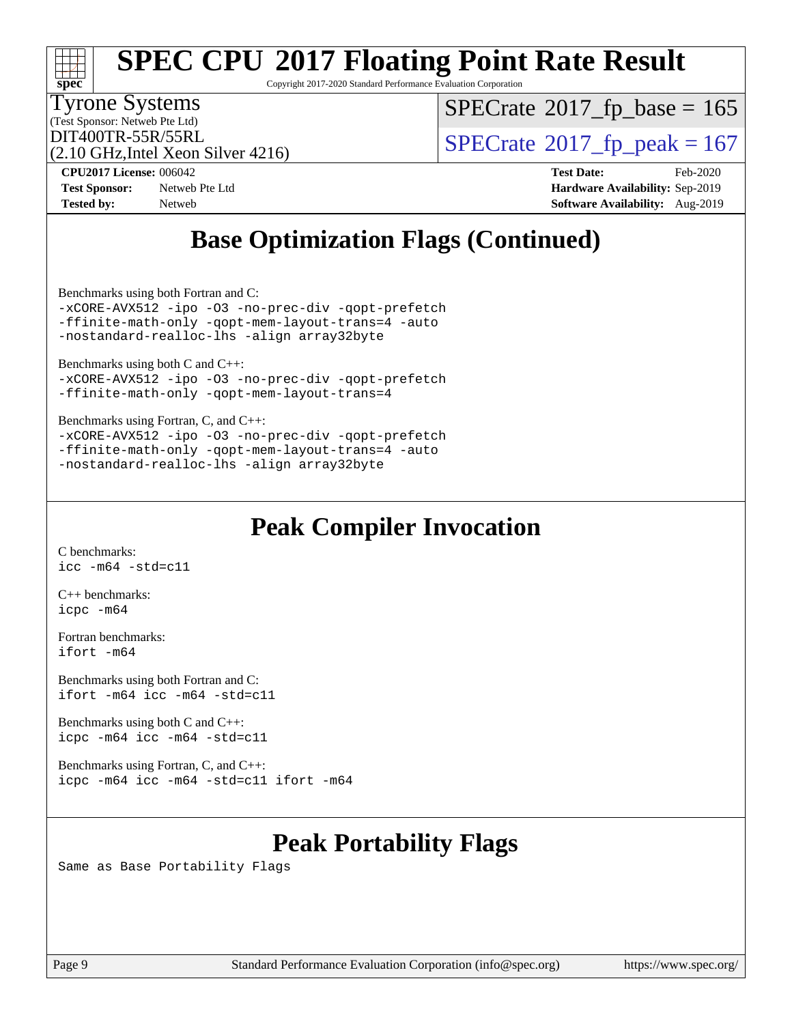# **[spec](http://www.spec.org/)**

## **[SPEC CPU](http://www.spec.org/auto/cpu2017/Docs/result-fields.html#SPECCPU2017FloatingPointRateResult)[2017 Floating Point Rate Result](http://www.spec.org/auto/cpu2017/Docs/result-fields.html#SPECCPU2017FloatingPointRateResult)**

Copyright 2017-2020 Standard Performance Evaluation Corporation

### Tyrone Systems

(Test Sponsor: Netweb Pte Ltd)

 $SPECTate$ <sup>®</sup>[2017\\_fp\\_base =](http://www.spec.org/auto/cpu2017/Docs/result-fields.html#SPECrate2017fpbase) 165

(2.10 GHz,Intel Xeon Silver 4216)

DIT400TR-55R/55RL<br>(2.10 GHz Intel Xeon Silver 4216) [SPECrate](http://www.spec.org/auto/cpu2017/Docs/result-fields.html#SPECrate2017fppeak)®[2017\\_fp\\_peak = 1](http://www.spec.org/auto/cpu2017/Docs/result-fields.html#SPECrate2017fppeak)67

**[Tested by:](http://www.spec.org/auto/cpu2017/Docs/result-fields.html#Testedby)** Netweb **[Software Availability:](http://www.spec.org/auto/cpu2017/Docs/result-fields.html#SoftwareAvailability)** Aug-2019

**[CPU2017 License:](http://www.spec.org/auto/cpu2017/Docs/result-fields.html#CPU2017License)** 006042 **[Test Date:](http://www.spec.org/auto/cpu2017/Docs/result-fields.html#TestDate)** Feb-2020 **[Test Sponsor:](http://www.spec.org/auto/cpu2017/Docs/result-fields.html#TestSponsor)** Netweb Pte Ltd **[Hardware Availability:](http://www.spec.org/auto/cpu2017/Docs/result-fields.html#HardwareAvailability)** Sep-2019

## **[Base Optimization Flags \(Continued\)](http://www.spec.org/auto/cpu2017/Docs/result-fields.html#BaseOptimizationFlags)**

[Benchmarks using both Fortran and C](http://www.spec.org/auto/cpu2017/Docs/result-fields.html#BenchmarksusingbothFortranandC):

[-xCORE-AVX512](http://www.spec.org/cpu2017/results/res2020q1/cpu2017-20200218-20988.flags.html#user_CC_FCbase_f-xCORE-AVX512) [-ipo](http://www.spec.org/cpu2017/results/res2020q1/cpu2017-20200218-20988.flags.html#user_CC_FCbase_f-ipo) [-O3](http://www.spec.org/cpu2017/results/res2020q1/cpu2017-20200218-20988.flags.html#user_CC_FCbase_f-O3) [-no-prec-div](http://www.spec.org/cpu2017/results/res2020q1/cpu2017-20200218-20988.flags.html#user_CC_FCbase_f-no-prec-div) [-qopt-prefetch](http://www.spec.org/cpu2017/results/res2020q1/cpu2017-20200218-20988.flags.html#user_CC_FCbase_f-qopt-prefetch) [-ffinite-math-only](http://www.spec.org/cpu2017/results/res2020q1/cpu2017-20200218-20988.flags.html#user_CC_FCbase_f_finite_math_only_cb91587bd2077682c4b38af759c288ed7c732db004271a9512da14a4f8007909a5f1427ecbf1a0fb78ff2a814402c6114ac565ca162485bbcae155b5e4258871) [-qopt-mem-layout-trans=4](http://www.spec.org/cpu2017/results/res2020q1/cpu2017-20200218-20988.flags.html#user_CC_FCbase_f-qopt-mem-layout-trans_fa39e755916c150a61361b7846f310bcdf6f04e385ef281cadf3647acec3f0ae266d1a1d22d972a7087a248fd4e6ca390a3634700869573d231a252c784941a8) [-auto](http://www.spec.org/cpu2017/results/res2020q1/cpu2017-20200218-20988.flags.html#user_CC_FCbase_f-auto) [-nostandard-realloc-lhs](http://www.spec.org/cpu2017/results/res2020q1/cpu2017-20200218-20988.flags.html#user_CC_FCbase_f_2003_std_realloc_82b4557e90729c0f113870c07e44d33d6f5a304b4f63d4c15d2d0f1fab99f5daaed73bdb9275d9ae411527f28b936061aa8b9c8f2d63842963b95c9dd6426b8a) [-align array32byte](http://www.spec.org/cpu2017/results/res2020q1/cpu2017-20200218-20988.flags.html#user_CC_FCbase_align_array32byte_b982fe038af199962ba9a80c053b8342c548c85b40b8e86eb3cc33dee0d7986a4af373ac2d51c3f7cf710a18d62fdce2948f201cd044323541f22fc0fffc51b6)

[Benchmarks using both C and C++](http://www.spec.org/auto/cpu2017/Docs/result-fields.html#BenchmarksusingbothCandCXX): [-xCORE-AVX512](http://www.spec.org/cpu2017/results/res2020q1/cpu2017-20200218-20988.flags.html#user_CC_CXXbase_f-xCORE-AVX512) [-ipo](http://www.spec.org/cpu2017/results/res2020q1/cpu2017-20200218-20988.flags.html#user_CC_CXXbase_f-ipo) [-O3](http://www.spec.org/cpu2017/results/res2020q1/cpu2017-20200218-20988.flags.html#user_CC_CXXbase_f-O3) [-no-prec-div](http://www.spec.org/cpu2017/results/res2020q1/cpu2017-20200218-20988.flags.html#user_CC_CXXbase_f-no-prec-div) [-qopt-prefetch](http://www.spec.org/cpu2017/results/res2020q1/cpu2017-20200218-20988.flags.html#user_CC_CXXbase_f-qopt-prefetch) [-ffinite-math-only](http://www.spec.org/cpu2017/results/res2020q1/cpu2017-20200218-20988.flags.html#user_CC_CXXbase_f_finite_math_only_cb91587bd2077682c4b38af759c288ed7c732db004271a9512da14a4f8007909a5f1427ecbf1a0fb78ff2a814402c6114ac565ca162485bbcae155b5e4258871) [-qopt-mem-layout-trans=4](http://www.spec.org/cpu2017/results/res2020q1/cpu2017-20200218-20988.flags.html#user_CC_CXXbase_f-qopt-mem-layout-trans_fa39e755916c150a61361b7846f310bcdf6f04e385ef281cadf3647acec3f0ae266d1a1d22d972a7087a248fd4e6ca390a3634700869573d231a252c784941a8)

[Benchmarks using Fortran, C, and C++:](http://www.spec.org/auto/cpu2017/Docs/result-fields.html#BenchmarksusingFortranCandCXX) [-xCORE-AVX512](http://www.spec.org/cpu2017/results/res2020q1/cpu2017-20200218-20988.flags.html#user_CC_CXX_FCbase_f-xCORE-AVX512) [-ipo](http://www.spec.org/cpu2017/results/res2020q1/cpu2017-20200218-20988.flags.html#user_CC_CXX_FCbase_f-ipo) -03 [-no-prec-div](http://www.spec.org/cpu2017/results/res2020q1/cpu2017-20200218-20988.flags.html#user_CC_CXX_FCbase_f-no-prec-div) [-qopt-prefetch](http://www.spec.org/cpu2017/results/res2020q1/cpu2017-20200218-20988.flags.html#user_CC_CXX_FCbase_f-qopt-prefetch) [-ffinite-math-only](http://www.spec.org/cpu2017/results/res2020q1/cpu2017-20200218-20988.flags.html#user_CC_CXX_FCbase_f_finite_math_only_cb91587bd2077682c4b38af759c288ed7c732db004271a9512da14a4f8007909a5f1427ecbf1a0fb78ff2a814402c6114ac565ca162485bbcae155b5e4258871) [-qopt-mem-layout-trans=4](http://www.spec.org/cpu2017/results/res2020q1/cpu2017-20200218-20988.flags.html#user_CC_CXX_FCbase_f-qopt-mem-layout-trans_fa39e755916c150a61361b7846f310bcdf6f04e385ef281cadf3647acec3f0ae266d1a1d22d972a7087a248fd4e6ca390a3634700869573d231a252c784941a8) [-auto](http://www.spec.org/cpu2017/results/res2020q1/cpu2017-20200218-20988.flags.html#user_CC_CXX_FCbase_f-auto) [-nostandard-realloc-lhs](http://www.spec.org/cpu2017/results/res2020q1/cpu2017-20200218-20988.flags.html#user_CC_CXX_FCbase_f_2003_std_realloc_82b4557e90729c0f113870c07e44d33d6f5a304b4f63d4c15d2d0f1fab99f5daaed73bdb9275d9ae411527f28b936061aa8b9c8f2d63842963b95c9dd6426b8a) [-align array32byte](http://www.spec.org/cpu2017/results/res2020q1/cpu2017-20200218-20988.flags.html#user_CC_CXX_FCbase_align_array32byte_b982fe038af199962ba9a80c053b8342c548c85b40b8e86eb3cc33dee0d7986a4af373ac2d51c3f7cf710a18d62fdce2948f201cd044323541f22fc0fffc51b6)

### **[Peak Compiler Invocation](http://www.spec.org/auto/cpu2017/Docs/result-fields.html#PeakCompilerInvocation)**

[C benchmarks](http://www.spec.org/auto/cpu2017/Docs/result-fields.html#Cbenchmarks): [icc -m64 -std=c11](http://www.spec.org/cpu2017/results/res2020q1/cpu2017-20200218-20988.flags.html#user_CCpeak_intel_icc_64bit_c11_33ee0cdaae7deeeab2a9725423ba97205ce30f63b9926c2519791662299b76a0318f32ddfffdc46587804de3178b4f9328c46fa7c2b0cd779d7a61945c91cd35)

[C++ benchmarks:](http://www.spec.org/auto/cpu2017/Docs/result-fields.html#CXXbenchmarks) [icpc -m64](http://www.spec.org/cpu2017/results/res2020q1/cpu2017-20200218-20988.flags.html#user_CXXpeak_intel_icpc_64bit_4ecb2543ae3f1412ef961e0650ca070fec7b7afdcd6ed48761b84423119d1bf6bdf5cad15b44d48e7256388bc77273b966e5eb805aefd121eb22e9299b2ec9d9)

[Fortran benchmarks](http://www.spec.org/auto/cpu2017/Docs/result-fields.html#Fortranbenchmarks): [ifort -m64](http://www.spec.org/cpu2017/results/res2020q1/cpu2017-20200218-20988.flags.html#user_FCpeak_intel_ifort_64bit_24f2bb282fbaeffd6157abe4f878425411749daecae9a33200eee2bee2fe76f3b89351d69a8130dd5949958ce389cf37ff59a95e7a40d588e8d3a57e0c3fd751)

[Benchmarks using both Fortran and C](http://www.spec.org/auto/cpu2017/Docs/result-fields.html#BenchmarksusingbothFortranandC): [ifort -m64](http://www.spec.org/cpu2017/results/res2020q1/cpu2017-20200218-20988.flags.html#user_CC_FCpeak_intel_ifort_64bit_24f2bb282fbaeffd6157abe4f878425411749daecae9a33200eee2bee2fe76f3b89351d69a8130dd5949958ce389cf37ff59a95e7a40d588e8d3a57e0c3fd751) [icc -m64 -std=c11](http://www.spec.org/cpu2017/results/res2020q1/cpu2017-20200218-20988.flags.html#user_CC_FCpeak_intel_icc_64bit_c11_33ee0cdaae7deeeab2a9725423ba97205ce30f63b9926c2519791662299b76a0318f32ddfffdc46587804de3178b4f9328c46fa7c2b0cd779d7a61945c91cd35)

[Benchmarks using both C and C++](http://www.spec.org/auto/cpu2017/Docs/result-fields.html#BenchmarksusingbothCandCXX): [icpc -m64](http://www.spec.org/cpu2017/results/res2020q1/cpu2017-20200218-20988.flags.html#user_CC_CXXpeak_intel_icpc_64bit_4ecb2543ae3f1412ef961e0650ca070fec7b7afdcd6ed48761b84423119d1bf6bdf5cad15b44d48e7256388bc77273b966e5eb805aefd121eb22e9299b2ec9d9) [icc -m64 -std=c11](http://www.spec.org/cpu2017/results/res2020q1/cpu2017-20200218-20988.flags.html#user_CC_CXXpeak_intel_icc_64bit_c11_33ee0cdaae7deeeab2a9725423ba97205ce30f63b9926c2519791662299b76a0318f32ddfffdc46587804de3178b4f9328c46fa7c2b0cd779d7a61945c91cd35)

[Benchmarks using Fortran, C, and C++:](http://www.spec.org/auto/cpu2017/Docs/result-fields.html#BenchmarksusingFortranCandCXX) [icpc -m64](http://www.spec.org/cpu2017/results/res2020q1/cpu2017-20200218-20988.flags.html#user_CC_CXX_FCpeak_intel_icpc_64bit_4ecb2543ae3f1412ef961e0650ca070fec7b7afdcd6ed48761b84423119d1bf6bdf5cad15b44d48e7256388bc77273b966e5eb805aefd121eb22e9299b2ec9d9) [icc -m64 -std=c11](http://www.spec.org/cpu2017/results/res2020q1/cpu2017-20200218-20988.flags.html#user_CC_CXX_FCpeak_intel_icc_64bit_c11_33ee0cdaae7deeeab2a9725423ba97205ce30f63b9926c2519791662299b76a0318f32ddfffdc46587804de3178b4f9328c46fa7c2b0cd779d7a61945c91cd35) [ifort -m64](http://www.spec.org/cpu2017/results/res2020q1/cpu2017-20200218-20988.flags.html#user_CC_CXX_FCpeak_intel_ifort_64bit_24f2bb282fbaeffd6157abe4f878425411749daecae9a33200eee2bee2fe76f3b89351d69a8130dd5949958ce389cf37ff59a95e7a40d588e8d3a57e0c3fd751)

### **[Peak Portability Flags](http://www.spec.org/auto/cpu2017/Docs/result-fields.html#PeakPortabilityFlags)**

Same as Base Portability Flags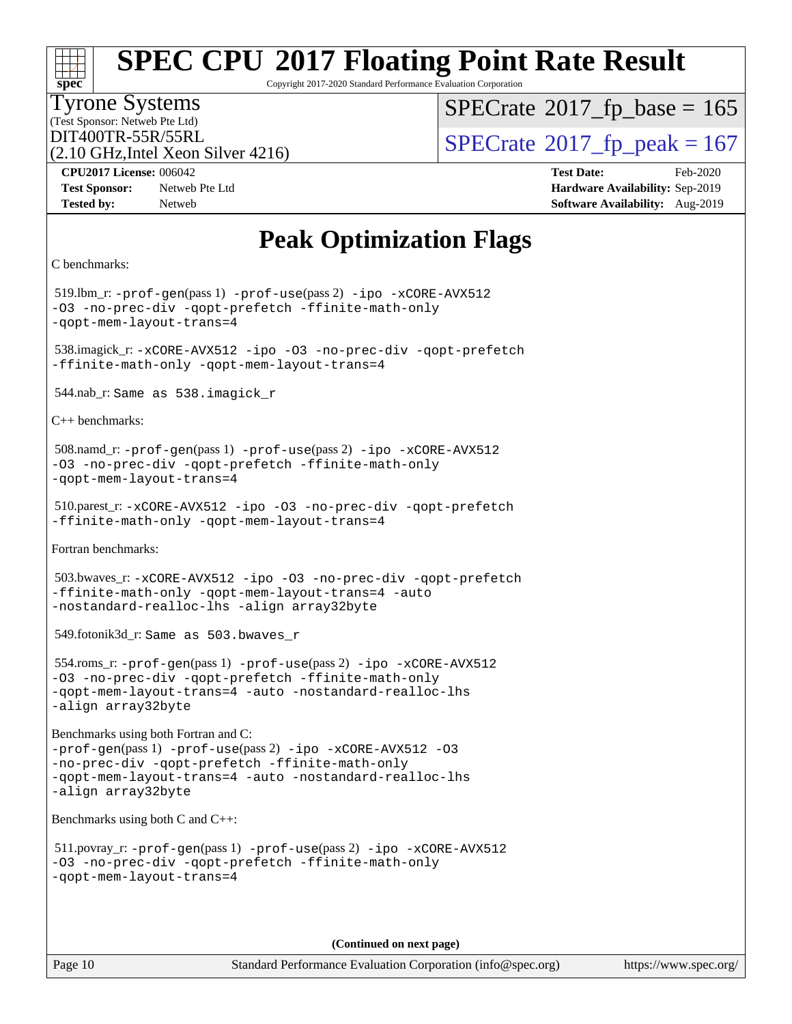Copyright 2017-2020 Standard Performance Evaluation Corporation

#### Tyrone Systems

(Test Sponsor: Netweb Pte Ltd) (2.10 GHz,Intel Xeon Silver 4216)  $SPECTate$ <sup>®</sup>[2017\\_fp\\_base =](http://www.spec.org/auto/cpu2017/Docs/result-fields.html#SPECrate2017fpbase) 165

DIT400TR-55R/55RL<br>(2.10 GHz Intel Xeon Silver 4216) [SPECrate](http://www.spec.org/auto/cpu2017/Docs/result-fields.html#SPECrate2017fppeak)®[2017\\_fp\\_peak = 1](http://www.spec.org/auto/cpu2017/Docs/result-fields.html#SPECrate2017fppeak)67

**[Test Sponsor:](http://www.spec.org/auto/cpu2017/Docs/result-fields.html#TestSponsor)** Netweb Pte Ltd **[Hardware Availability:](http://www.spec.org/auto/cpu2017/Docs/result-fields.html#HardwareAvailability)** Sep-2019 **[Tested by:](http://www.spec.org/auto/cpu2017/Docs/result-fields.html#Testedby)** Netweb **[Software Availability:](http://www.spec.org/auto/cpu2017/Docs/result-fields.html#SoftwareAvailability)** Aug-2019

**[CPU2017 License:](http://www.spec.org/auto/cpu2017/Docs/result-fields.html#CPU2017License)** 006042 **[Test Date:](http://www.spec.org/auto/cpu2017/Docs/result-fields.html#TestDate)** Feb-2020

## **[Peak Optimization Flags](http://www.spec.org/auto/cpu2017/Docs/result-fields.html#PeakOptimizationFlags)**

```
C benchmarks:
```
**[spec](http://www.spec.org/)**

 519.lbm\_r: [-prof-gen](http://www.spec.org/cpu2017/results/res2020q1/cpu2017-20200218-20988.flags.html#user_peakPASS1_CFLAGSPASS1_LDFLAGS519_lbm_r_prof_gen_5aa4926d6013ddb2a31985c654b3eb18169fc0c6952a63635c234f711e6e63dd76e94ad52365559451ec499a2cdb89e4dc58ba4c67ef54ca681ffbe1461d6b36)(pass 1) [-prof-use](http://www.spec.org/cpu2017/results/res2020q1/cpu2017-20200218-20988.flags.html#user_peakPASS2_CFLAGSPASS2_LDFLAGS519_lbm_r_prof_use_1a21ceae95f36a2b53c25747139a6c16ca95bd9def2a207b4f0849963b97e94f5260e30a0c64f4bb623698870e679ca08317ef8150905d41bd88c6f78df73f19)(pass 2) [-ipo](http://www.spec.org/cpu2017/results/res2020q1/cpu2017-20200218-20988.flags.html#user_peakPASS1_COPTIMIZEPASS2_COPTIMIZE519_lbm_r_f-ipo) [-xCORE-AVX512](http://www.spec.org/cpu2017/results/res2020q1/cpu2017-20200218-20988.flags.html#user_peakPASS2_COPTIMIZE519_lbm_r_f-xCORE-AVX512) [-O3](http://www.spec.org/cpu2017/results/res2020q1/cpu2017-20200218-20988.flags.html#user_peakPASS1_COPTIMIZEPASS2_COPTIMIZE519_lbm_r_f-O3) [-no-prec-div](http://www.spec.org/cpu2017/results/res2020q1/cpu2017-20200218-20988.flags.html#user_peakPASS1_COPTIMIZEPASS2_COPTIMIZE519_lbm_r_f-no-prec-div) [-qopt-prefetch](http://www.spec.org/cpu2017/results/res2020q1/cpu2017-20200218-20988.flags.html#user_peakPASS1_COPTIMIZEPASS2_COPTIMIZE519_lbm_r_f-qopt-prefetch) [-ffinite-math-only](http://www.spec.org/cpu2017/results/res2020q1/cpu2017-20200218-20988.flags.html#user_peakPASS1_COPTIMIZEPASS2_COPTIMIZE519_lbm_r_f_finite_math_only_cb91587bd2077682c4b38af759c288ed7c732db004271a9512da14a4f8007909a5f1427ecbf1a0fb78ff2a814402c6114ac565ca162485bbcae155b5e4258871) [-qopt-mem-layout-trans=4](http://www.spec.org/cpu2017/results/res2020q1/cpu2017-20200218-20988.flags.html#user_peakPASS1_COPTIMIZEPASS2_COPTIMIZE519_lbm_r_f-qopt-mem-layout-trans_fa39e755916c150a61361b7846f310bcdf6f04e385ef281cadf3647acec3f0ae266d1a1d22d972a7087a248fd4e6ca390a3634700869573d231a252c784941a8) 538.imagick\_r: [-xCORE-AVX512](http://www.spec.org/cpu2017/results/res2020q1/cpu2017-20200218-20988.flags.html#user_peakCOPTIMIZE538_imagick_r_f-xCORE-AVX512) [-ipo](http://www.spec.org/cpu2017/results/res2020q1/cpu2017-20200218-20988.flags.html#user_peakCOPTIMIZE538_imagick_r_f-ipo) [-O3](http://www.spec.org/cpu2017/results/res2020q1/cpu2017-20200218-20988.flags.html#user_peakCOPTIMIZE538_imagick_r_f-O3) [-no-prec-div](http://www.spec.org/cpu2017/results/res2020q1/cpu2017-20200218-20988.flags.html#user_peakCOPTIMIZE538_imagick_r_f-no-prec-div) [-qopt-prefetch](http://www.spec.org/cpu2017/results/res2020q1/cpu2017-20200218-20988.flags.html#user_peakCOPTIMIZE538_imagick_r_f-qopt-prefetch) [-ffinite-math-only](http://www.spec.org/cpu2017/results/res2020q1/cpu2017-20200218-20988.flags.html#user_peakCOPTIMIZE538_imagick_r_f_finite_math_only_cb91587bd2077682c4b38af759c288ed7c732db004271a9512da14a4f8007909a5f1427ecbf1a0fb78ff2a814402c6114ac565ca162485bbcae155b5e4258871) [-qopt-mem-layout-trans=4](http://www.spec.org/cpu2017/results/res2020q1/cpu2017-20200218-20988.flags.html#user_peakCOPTIMIZE538_imagick_r_f-qopt-mem-layout-trans_fa39e755916c150a61361b7846f310bcdf6f04e385ef281cadf3647acec3f0ae266d1a1d22d972a7087a248fd4e6ca390a3634700869573d231a252c784941a8) 544.nab\_r: Same as 538.imagick\_r [C++ benchmarks:](http://www.spec.org/auto/cpu2017/Docs/result-fields.html#CXXbenchmarks) 508.namd\_r: [-prof-gen](http://www.spec.org/cpu2017/results/res2020q1/cpu2017-20200218-20988.flags.html#user_peakPASS1_CXXFLAGSPASS1_LDFLAGS508_namd_r_prof_gen_5aa4926d6013ddb2a31985c654b3eb18169fc0c6952a63635c234f711e6e63dd76e94ad52365559451ec499a2cdb89e4dc58ba4c67ef54ca681ffbe1461d6b36)(pass 1) [-prof-use](http://www.spec.org/cpu2017/results/res2020q1/cpu2017-20200218-20988.flags.html#user_peakPASS2_CXXFLAGSPASS2_LDFLAGS508_namd_r_prof_use_1a21ceae95f36a2b53c25747139a6c16ca95bd9def2a207b4f0849963b97e94f5260e30a0c64f4bb623698870e679ca08317ef8150905d41bd88c6f78df73f19)(pass 2) [-ipo](http://www.spec.org/cpu2017/results/res2020q1/cpu2017-20200218-20988.flags.html#user_peakPASS1_CXXOPTIMIZEPASS2_CXXOPTIMIZE508_namd_r_f-ipo) [-xCORE-AVX512](http://www.spec.org/cpu2017/results/res2020q1/cpu2017-20200218-20988.flags.html#user_peakPASS2_CXXOPTIMIZE508_namd_r_f-xCORE-AVX512) [-O3](http://www.spec.org/cpu2017/results/res2020q1/cpu2017-20200218-20988.flags.html#user_peakPASS1_CXXOPTIMIZEPASS2_CXXOPTIMIZE508_namd_r_f-O3) [-no-prec-div](http://www.spec.org/cpu2017/results/res2020q1/cpu2017-20200218-20988.flags.html#user_peakPASS1_CXXOPTIMIZEPASS2_CXXOPTIMIZE508_namd_r_f-no-prec-div) [-qopt-prefetch](http://www.spec.org/cpu2017/results/res2020q1/cpu2017-20200218-20988.flags.html#user_peakPASS1_CXXOPTIMIZEPASS2_CXXOPTIMIZE508_namd_r_f-qopt-prefetch) [-ffinite-math-only](http://www.spec.org/cpu2017/results/res2020q1/cpu2017-20200218-20988.flags.html#user_peakPASS1_CXXOPTIMIZEPASS2_CXXOPTIMIZE508_namd_r_f_finite_math_only_cb91587bd2077682c4b38af759c288ed7c732db004271a9512da14a4f8007909a5f1427ecbf1a0fb78ff2a814402c6114ac565ca162485bbcae155b5e4258871) [-qopt-mem-layout-trans=4](http://www.spec.org/cpu2017/results/res2020q1/cpu2017-20200218-20988.flags.html#user_peakPASS1_CXXOPTIMIZEPASS2_CXXOPTIMIZE508_namd_r_f-qopt-mem-layout-trans_fa39e755916c150a61361b7846f310bcdf6f04e385ef281cadf3647acec3f0ae266d1a1d22d972a7087a248fd4e6ca390a3634700869573d231a252c784941a8) 510.parest\_r: [-xCORE-AVX512](http://www.spec.org/cpu2017/results/res2020q1/cpu2017-20200218-20988.flags.html#user_peakCXXOPTIMIZE510_parest_r_f-xCORE-AVX512) [-ipo](http://www.spec.org/cpu2017/results/res2020q1/cpu2017-20200218-20988.flags.html#user_peakCXXOPTIMIZE510_parest_r_f-ipo) [-O3](http://www.spec.org/cpu2017/results/res2020q1/cpu2017-20200218-20988.flags.html#user_peakCXXOPTIMIZE510_parest_r_f-O3) [-no-prec-div](http://www.spec.org/cpu2017/results/res2020q1/cpu2017-20200218-20988.flags.html#user_peakCXXOPTIMIZE510_parest_r_f-no-prec-div) [-qopt-prefetch](http://www.spec.org/cpu2017/results/res2020q1/cpu2017-20200218-20988.flags.html#user_peakCXXOPTIMIZE510_parest_r_f-qopt-prefetch) [-ffinite-math-only](http://www.spec.org/cpu2017/results/res2020q1/cpu2017-20200218-20988.flags.html#user_peakCXXOPTIMIZE510_parest_r_f_finite_math_only_cb91587bd2077682c4b38af759c288ed7c732db004271a9512da14a4f8007909a5f1427ecbf1a0fb78ff2a814402c6114ac565ca162485bbcae155b5e4258871) [-qopt-mem-layout-trans=4](http://www.spec.org/cpu2017/results/res2020q1/cpu2017-20200218-20988.flags.html#user_peakCXXOPTIMIZE510_parest_r_f-qopt-mem-layout-trans_fa39e755916c150a61361b7846f310bcdf6f04e385ef281cadf3647acec3f0ae266d1a1d22d972a7087a248fd4e6ca390a3634700869573d231a252c784941a8) [Fortran benchmarks](http://www.spec.org/auto/cpu2017/Docs/result-fields.html#Fortranbenchmarks): 503.bwaves\_r: [-xCORE-AVX512](http://www.spec.org/cpu2017/results/res2020q1/cpu2017-20200218-20988.flags.html#user_peakFOPTIMIZE503_bwaves_r_f-xCORE-AVX512) [-ipo](http://www.spec.org/cpu2017/results/res2020q1/cpu2017-20200218-20988.flags.html#user_peakFOPTIMIZE503_bwaves_r_f-ipo) [-O3](http://www.spec.org/cpu2017/results/res2020q1/cpu2017-20200218-20988.flags.html#user_peakFOPTIMIZE503_bwaves_r_f-O3) [-no-prec-div](http://www.spec.org/cpu2017/results/res2020q1/cpu2017-20200218-20988.flags.html#user_peakFOPTIMIZE503_bwaves_r_f-no-prec-div) [-qopt-prefetch](http://www.spec.org/cpu2017/results/res2020q1/cpu2017-20200218-20988.flags.html#user_peakFOPTIMIZE503_bwaves_r_f-qopt-prefetch) [-ffinite-math-only](http://www.spec.org/cpu2017/results/res2020q1/cpu2017-20200218-20988.flags.html#user_peakFOPTIMIZE503_bwaves_r_f_finite_math_only_cb91587bd2077682c4b38af759c288ed7c732db004271a9512da14a4f8007909a5f1427ecbf1a0fb78ff2a814402c6114ac565ca162485bbcae155b5e4258871) [-qopt-mem-layout-trans=4](http://www.spec.org/cpu2017/results/res2020q1/cpu2017-20200218-20988.flags.html#user_peakFOPTIMIZE503_bwaves_r_f-qopt-mem-layout-trans_fa39e755916c150a61361b7846f310bcdf6f04e385ef281cadf3647acec3f0ae266d1a1d22d972a7087a248fd4e6ca390a3634700869573d231a252c784941a8) [-auto](http://www.spec.org/cpu2017/results/res2020q1/cpu2017-20200218-20988.flags.html#user_peakFOPTIMIZE503_bwaves_r_f-auto) [-nostandard-realloc-lhs](http://www.spec.org/cpu2017/results/res2020q1/cpu2017-20200218-20988.flags.html#user_peakEXTRA_FOPTIMIZE503_bwaves_r_f_2003_std_realloc_82b4557e90729c0f113870c07e44d33d6f5a304b4f63d4c15d2d0f1fab99f5daaed73bdb9275d9ae411527f28b936061aa8b9c8f2d63842963b95c9dd6426b8a) [-align array32byte](http://www.spec.org/cpu2017/results/res2020q1/cpu2017-20200218-20988.flags.html#user_peakEXTRA_FOPTIMIZE503_bwaves_r_align_array32byte_b982fe038af199962ba9a80c053b8342c548c85b40b8e86eb3cc33dee0d7986a4af373ac2d51c3f7cf710a18d62fdce2948f201cd044323541f22fc0fffc51b6) 549.fotonik3d\_r: Same as 503.bwaves\_r 554.roms\_r: [-prof-gen](http://www.spec.org/cpu2017/results/res2020q1/cpu2017-20200218-20988.flags.html#user_peakPASS1_FFLAGSPASS1_LDFLAGS554_roms_r_prof_gen_5aa4926d6013ddb2a31985c654b3eb18169fc0c6952a63635c234f711e6e63dd76e94ad52365559451ec499a2cdb89e4dc58ba4c67ef54ca681ffbe1461d6b36)(pass 1) [-prof-use](http://www.spec.org/cpu2017/results/res2020q1/cpu2017-20200218-20988.flags.html#user_peakPASS2_FFLAGSPASS2_LDFLAGS554_roms_r_prof_use_1a21ceae95f36a2b53c25747139a6c16ca95bd9def2a207b4f0849963b97e94f5260e30a0c64f4bb623698870e679ca08317ef8150905d41bd88c6f78df73f19)(pass 2) [-ipo](http://www.spec.org/cpu2017/results/res2020q1/cpu2017-20200218-20988.flags.html#user_peakPASS1_FOPTIMIZEPASS2_FOPTIMIZE554_roms_r_f-ipo) [-xCORE-AVX512](http://www.spec.org/cpu2017/results/res2020q1/cpu2017-20200218-20988.flags.html#user_peakPASS2_FOPTIMIZE554_roms_r_f-xCORE-AVX512) [-O3](http://www.spec.org/cpu2017/results/res2020q1/cpu2017-20200218-20988.flags.html#user_peakPASS1_FOPTIMIZEPASS2_FOPTIMIZE554_roms_r_f-O3) [-no-prec-div](http://www.spec.org/cpu2017/results/res2020q1/cpu2017-20200218-20988.flags.html#user_peakPASS1_FOPTIMIZEPASS2_FOPTIMIZE554_roms_r_f-no-prec-div) [-qopt-prefetch](http://www.spec.org/cpu2017/results/res2020q1/cpu2017-20200218-20988.flags.html#user_peakPASS1_FOPTIMIZEPASS2_FOPTIMIZE554_roms_r_f-qopt-prefetch) [-ffinite-math-only](http://www.spec.org/cpu2017/results/res2020q1/cpu2017-20200218-20988.flags.html#user_peakPASS1_FOPTIMIZEPASS2_FOPTIMIZE554_roms_r_f_finite_math_only_cb91587bd2077682c4b38af759c288ed7c732db004271a9512da14a4f8007909a5f1427ecbf1a0fb78ff2a814402c6114ac565ca162485bbcae155b5e4258871) [-qopt-mem-layout-trans=4](http://www.spec.org/cpu2017/results/res2020q1/cpu2017-20200218-20988.flags.html#user_peakPASS1_FOPTIMIZEPASS2_FOPTIMIZE554_roms_r_f-qopt-mem-layout-trans_fa39e755916c150a61361b7846f310bcdf6f04e385ef281cadf3647acec3f0ae266d1a1d22d972a7087a248fd4e6ca390a3634700869573d231a252c784941a8) [-auto](http://www.spec.org/cpu2017/results/res2020q1/cpu2017-20200218-20988.flags.html#user_peakPASS2_FOPTIMIZE554_roms_r_f-auto) [-nostandard-realloc-lhs](http://www.spec.org/cpu2017/results/res2020q1/cpu2017-20200218-20988.flags.html#user_peakEXTRA_FOPTIMIZE554_roms_r_f_2003_std_realloc_82b4557e90729c0f113870c07e44d33d6f5a304b4f63d4c15d2d0f1fab99f5daaed73bdb9275d9ae411527f28b936061aa8b9c8f2d63842963b95c9dd6426b8a) [-align array32byte](http://www.spec.org/cpu2017/results/res2020q1/cpu2017-20200218-20988.flags.html#user_peakEXTRA_FOPTIMIZE554_roms_r_align_array32byte_b982fe038af199962ba9a80c053b8342c548c85b40b8e86eb3cc33dee0d7986a4af373ac2d51c3f7cf710a18d62fdce2948f201cd044323541f22fc0fffc51b6) [Benchmarks using both Fortran and C](http://www.spec.org/auto/cpu2017/Docs/result-fields.html#BenchmarksusingbothFortranandC): [-prof-gen](http://www.spec.org/cpu2017/results/res2020q1/cpu2017-20200218-20988.flags.html#user_CC_FCpeak_prof_gen_5aa4926d6013ddb2a31985c654b3eb18169fc0c6952a63635c234f711e6e63dd76e94ad52365559451ec499a2cdb89e4dc58ba4c67ef54ca681ffbe1461d6b36)(pass 1) [-prof-use](http://www.spec.org/cpu2017/results/res2020q1/cpu2017-20200218-20988.flags.html#user_CC_FCpeak_prof_use_1a21ceae95f36a2b53c25747139a6c16ca95bd9def2a207b4f0849963b97e94f5260e30a0c64f4bb623698870e679ca08317ef8150905d41bd88c6f78df73f19)(pass 2) [-ipo](http://www.spec.org/cpu2017/results/res2020q1/cpu2017-20200218-20988.flags.html#user_CC_FCpeak_f-ipo) [-xCORE-AVX512](http://www.spec.org/cpu2017/results/res2020q1/cpu2017-20200218-20988.flags.html#user_CC_FCpeak_f-xCORE-AVX512) [-O3](http://www.spec.org/cpu2017/results/res2020q1/cpu2017-20200218-20988.flags.html#user_CC_FCpeak_f-O3) [-no-prec-div](http://www.spec.org/cpu2017/results/res2020q1/cpu2017-20200218-20988.flags.html#user_CC_FCpeak_f-no-prec-div) [-qopt-prefetch](http://www.spec.org/cpu2017/results/res2020q1/cpu2017-20200218-20988.flags.html#user_CC_FCpeak_f-qopt-prefetch) [-ffinite-math-only](http://www.spec.org/cpu2017/results/res2020q1/cpu2017-20200218-20988.flags.html#user_CC_FCpeak_f_finite_math_only_cb91587bd2077682c4b38af759c288ed7c732db004271a9512da14a4f8007909a5f1427ecbf1a0fb78ff2a814402c6114ac565ca162485bbcae155b5e4258871) [-qopt-mem-layout-trans=4](http://www.spec.org/cpu2017/results/res2020q1/cpu2017-20200218-20988.flags.html#user_CC_FCpeak_f-qopt-mem-layout-trans_fa39e755916c150a61361b7846f310bcdf6f04e385ef281cadf3647acec3f0ae266d1a1d22d972a7087a248fd4e6ca390a3634700869573d231a252c784941a8) [-auto](http://www.spec.org/cpu2017/results/res2020q1/cpu2017-20200218-20988.flags.html#user_CC_FCpeak_f-auto) [-nostandard-realloc-lhs](http://www.spec.org/cpu2017/results/res2020q1/cpu2017-20200218-20988.flags.html#user_CC_FCpeak_f_2003_std_realloc_82b4557e90729c0f113870c07e44d33d6f5a304b4f63d4c15d2d0f1fab99f5daaed73bdb9275d9ae411527f28b936061aa8b9c8f2d63842963b95c9dd6426b8a) [-align array32byte](http://www.spec.org/cpu2017/results/res2020q1/cpu2017-20200218-20988.flags.html#user_CC_FCpeak_align_array32byte_b982fe038af199962ba9a80c053b8342c548c85b40b8e86eb3cc33dee0d7986a4af373ac2d51c3f7cf710a18d62fdce2948f201cd044323541f22fc0fffc51b6) [Benchmarks using both C and C++:](http://www.spec.org/auto/cpu2017/Docs/result-fields.html#BenchmarksusingbothCandCXX) 511.povray\_r: [-prof-gen](http://www.spec.org/cpu2017/results/res2020q1/cpu2017-20200218-20988.flags.html#user_peakPASS1_CFLAGSPASS1_CXXFLAGSPASS1_LDFLAGS511_povray_r_prof_gen_5aa4926d6013ddb2a31985c654b3eb18169fc0c6952a63635c234f711e6e63dd76e94ad52365559451ec499a2cdb89e4dc58ba4c67ef54ca681ffbe1461d6b36)(pass 1) [-prof-use](http://www.spec.org/cpu2017/results/res2020q1/cpu2017-20200218-20988.flags.html#user_peakPASS2_CFLAGSPASS2_CXXFLAGSPASS2_LDFLAGS511_povray_r_prof_use_1a21ceae95f36a2b53c25747139a6c16ca95bd9def2a207b4f0849963b97e94f5260e30a0c64f4bb623698870e679ca08317ef8150905d41bd88c6f78df73f19)(pass 2) [-ipo](http://www.spec.org/cpu2017/results/res2020q1/cpu2017-20200218-20988.flags.html#user_peakPASS1_COPTIMIZEPASS1_CXXOPTIMIZEPASS2_COPTIMIZEPASS2_CXXOPTIMIZE511_povray_r_f-ipo) [-xCORE-AVX512](http://www.spec.org/cpu2017/results/res2020q1/cpu2017-20200218-20988.flags.html#user_peakPASS2_COPTIMIZEPASS2_CXXOPTIMIZE511_povray_r_f-xCORE-AVX512) [-O3](http://www.spec.org/cpu2017/results/res2020q1/cpu2017-20200218-20988.flags.html#user_peakPASS1_COPTIMIZEPASS1_CXXOPTIMIZEPASS2_COPTIMIZEPASS2_CXXOPTIMIZE511_povray_r_f-O3) [-no-prec-div](http://www.spec.org/cpu2017/results/res2020q1/cpu2017-20200218-20988.flags.html#user_peakPASS1_COPTIMIZEPASS1_CXXOPTIMIZEPASS2_COPTIMIZEPASS2_CXXOPTIMIZE511_povray_r_f-no-prec-div) [-qopt-prefetch](http://www.spec.org/cpu2017/results/res2020q1/cpu2017-20200218-20988.flags.html#user_peakPASS1_COPTIMIZEPASS1_CXXOPTIMIZEPASS2_COPTIMIZEPASS2_CXXOPTIMIZE511_povray_r_f-qopt-prefetch) [-ffinite-math-only](http://www.spec.org/cpu2017/results/res2020q1/cpu2017-20200218-20988.flags.html#user_peakPASS1_COPTIMIZEPASS1_CXXOPTIMIZEPASS2_COPTIMIZEPASS2_CXXOPTIMIZE511_povray_r_f_finite_math_only_cb91587bd2077682c4b38af759c288ed7c732db004271a9512da14a4f8007909a5f1427ecbf1a0fb78ff2a814402c6114ac565ca162485bbcae155b5e4258871) [-qopt-mem-layout-trans=4](http://www.spec.org/cpu2017/results/res2020q1/cpu2017-20200218-20988.flags.html#user_peakPASS1_COPTIMIZEPASS1_CXXOPTIMIZEPASS2_COPTIMIZEPASS2_CXXOPTIMIZE511_povray_r_f-qopt-mem-layout-trans_fa39e755916c150a61361b7846f310bcdf6f04e385ef281cadf3647acec3f0ae266d1a1d22d972a7087a248fd4e6ca390a3634700869573d231a252c784941a8)

**(Continued on next page)**